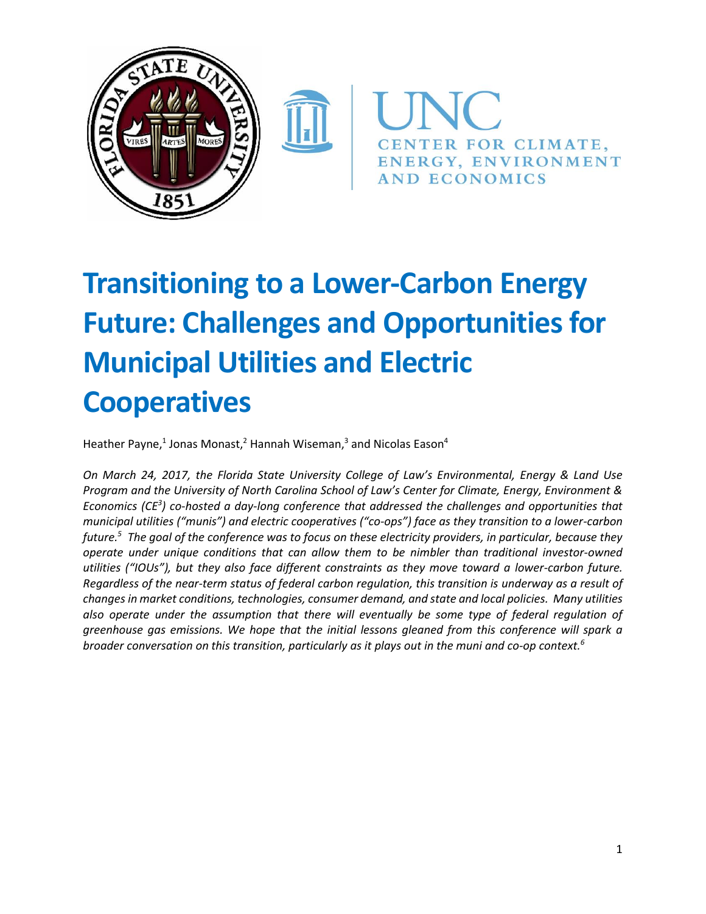

# **Transitioning to a Lower-Carbon Energy Future: Challenges and Opportunities for Municipal Utilities and Electric Cooperatives**

Heather Payne,<sup>1</sup> Jonas Monast,<sup>2</sup> Hannah Wiseman,<sup>3</sup> and Nicolas Eason<sup>4</sup>

*On March 24, 2017, the Florida State University College of Law's Environmental, Energy & Land Use Program and the University of North Carolina School of Law's Center for Climate, Energy, Environment & Economics (CE<sup>3</sup> ) co-hosted a day-long conference that addressed the challenges and opportunities that municipal utilities ("munis") and electric cooperatives ("co-ops") face as they transition to a lower-carbon future.<sup>5</sup> The goal of the conference was to focus on these electricity providers, in particular, because they operate under unique conditions that can allow them to be nimbler than traditional investor-owned utilities ("IOUs"), but they also face different constraints as they move toward a lower-carbon future. Regardless of the near-term status of federal carbon regulation, this transition is underway as a result of changes in market conditions, technologies, consumer demand, and state and local policies. Many utilities also operate under the assumption that there will eventually be some type of federal regulation of greenhouse gas emissions. We hope that the initial lessons gleaned from this conference will spark a broader conversation on this transition, particularly as it plays out in the muni and co-op context.<sup>6</sup>*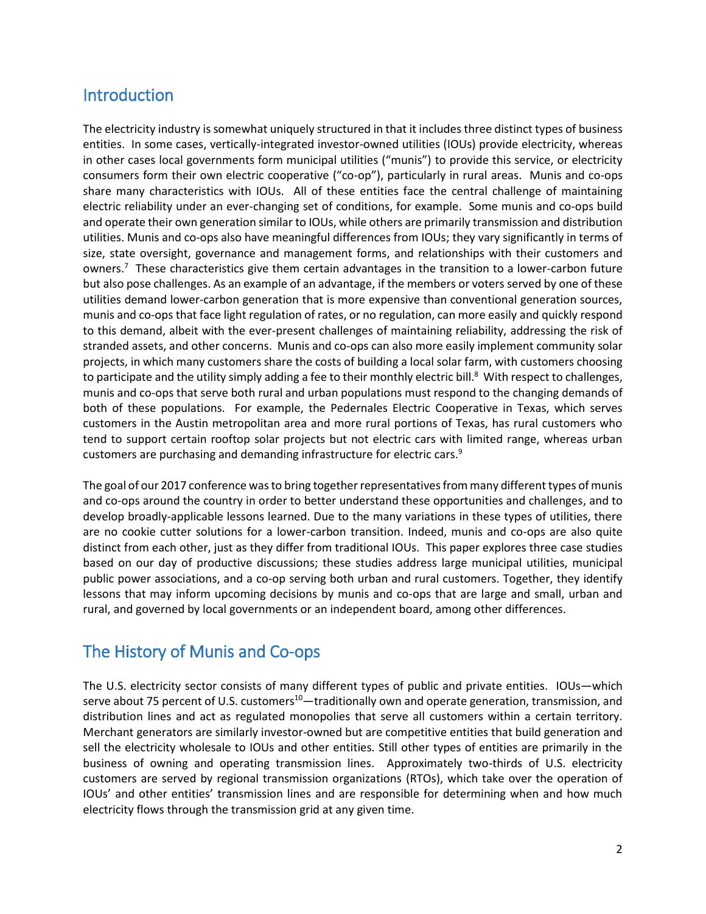## Introduction

The electricity industry is somewhat uniquely structured in that it includes three distinct types of business entities. In some cases, vertically-integrated investor-owned utilities (IOUs) provide electricity, whereas in other cases local governments form municipal utilities ("munis") to provide this service, or electricity consumers form their own electric cooperative ("co-op"), particularly in rural areas. Munis and co-ops share many characteristics with IOUs. All of these entities face the central challenge of maintaining electric reliability under an ever-changing set of conditions, for example. Some munis and co-ops build and operate their own generation similar to IOUs, while others are primarily transmission and distribution utilities. Munis and co-ops also have meaningful differences from IOUs; they vary significantly in terms of size, state oversight, governance and management forms, and relationships with their customers and owners.<sup>7</sup> These characteristics give them certain advantages in the transition to a lower-carbon future but also pose challenges. As an example of an advantage, if the members or voters served by one of these utilities demand lower-carbon generation that is more expensive than conventional generation sources, munis and co-ops that face light regulation of rates, or no regulation, can more easily and quickly respond to this demand, albeit with the ever-present challenges of maintaining reliability, addressing the risk of stranded assets, and other concerns. Munis and co-ops can also more easily implement community solar projects, in which many customers share the costs of building a local solar farm, with customers choosing to participate and the utility simply adding a fee to their monthly electric bill.<sup>8</sup> With respect to challenges, munis and co-ops that serve both rural and urban populations must respond to the changing demands of both of these populations. For example, the Pedernales Electric Cooperative in Texas, which serves customers in the Austin metropolitan area and more rural portions of Texas, has rural customers who tend to support certain rooftop solar projects but not electric cars with limited range, whereas urban customers are purchasing and demanding infrastructure for electric cars.<sup>9</sup>

The goal of our 2017 conference was to bring together representatives from many different types of munis and co-ops around the country in order to better understand these opportunities and challenges, and to develop broadly-applicable lessons learned. Due to the many variations in these types of utilities, there are no cookie cutter solutions for a lower-carbon transition. Indeed, munis and co-ops are also quite distinct from each other, just as they differ from traditional IOUs. This paper explores three case studies based on our day of productive discussions; these studies address large municipal utilities, municipal public power associations, and a co-op serving both urban and rural customers. Together, they identify lessons that may inform upcoming decisions by munis and co-ops that are large and small, urban and rural, and governed by local governments or an independent board, among other differences.

# The History of Munis and Co-ops

The U.S. electricity sector consists of many different types of public and private entities. IOUs—which serve about 75 percent of U.S. customers<sup>10</sup>—traditionally own and operate generation, transmission, and distribution lines and act as regulated monopolies that serve all customers within a certain territory. Merchant generators are similarly investor-owned but are competitive entities that build generation and sell the electricity wholesale to IOUs and other entities. Still other types of entities are primarily in the business of owning and operating transmission lines. Approximately two-thirds of U.S. electricity customers are served by regional transmission organizations (RTOs), which take over the operation of IOUs' and other entities' transmission lines and are responsible for determining when and how much electricity flows through the transmission grid at any given time.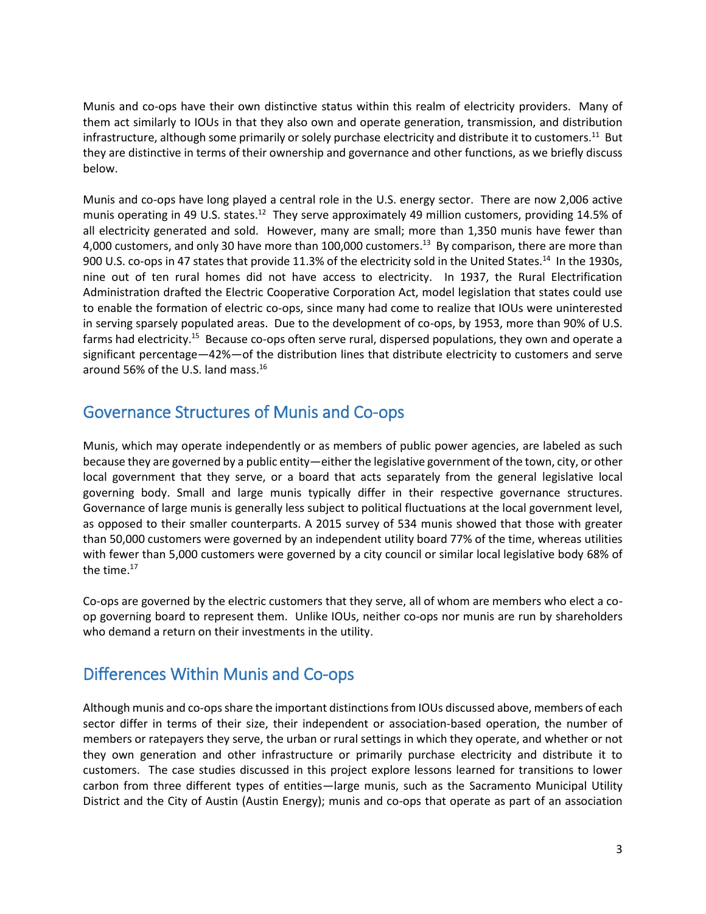<span id="page-2-0"></span>Munis and co-ops have their own distinctive status within this realm of electricity providers. Many of them act similarly to IOUs in that they also own and operate generation, transmission, and distribution infrastructure, although some primarily or solely purchase electricity and distribute it to customers.<sup>11</sup> But they are distinctive in terms of their ownership and governance and other functions, as we briefly discuss below.

Munis and co-ops have long played a central role in the U.S. energy sector. There are now 2,006 active munis operating in 49 U.S. states.<sup>12</sup> They serve approximately 49 million customers, providing 14.5% of all electricity generated and sold. However, many are small; more than 1,350 munis have fewer than 4,000 customers, and only 30 have more than 100,000 customers.<sup>13</sup> By comparison, there are more than 900 U.S. co-ops in 47 states that provide 11.3% of the electricity sold in the United States.<sup>14</sup> In the 1930s, nine out of ten rural homes did not have access to electricity. In 1937, the Rural Electrification Administration drafted the Electric Cooperative Corporation Act, model legislation that states could use to enable the formation of electric co-ops, since many had come to realize that IOUs were uninterested in serving sparsely populated areas. Due to the development of co-ops, by 1953, more than 90% of U.S. farms had electricity.<sup>15</sup> Because co-ops often serve rural, dispersed populations, they own and operate a significant percentage—42%—of the distribution lines that distribute electricity to customers and serve around 56% of the U.S. land mass. 16

## Governance Structures of Munis and Co-ops

Munis, which may operate independently or as members of public power agencies, are labeled as such because they are governed by a public entity—either the legislative government of the town, city, or other local government that they serve, or a board that acts separately from the general legislative local governing body. Small and large munis typically differ in their respective governance structures. Governance of large munis is generally less subject to political fluctuations at the local government level, as opposed to their smaller counterparts. A 2015 survey of 534 munis showed that those with greater than 50,000 customers were governed by an independent utility board 77% of the time, whereas utilities with fewer than 5,000 customers were governed by a city council or similar local legislative body 68% of the time. $^{17}$ 

Co-ops are governed by the electric customers that they serve, all of whom are members who elect a coop governing board to represent them. Unlike IOUs, neither co-ops nor munis are run by shareholders who demand a return on their investments in the utility.

## Differences Within Munis and Co-ops

Although munis and co-ops share the important distinctionsfrom IOUs discussed above, members of each sector differ in terms of their size, their independent or association-based operation, the number of members or ratepayers they serve, the urban or rural settings in which they operate, and whether or not they own generation and other infrastructure or primarily purchase electricity and distribute it to customers. The case studies discussed in this project explore lessons learned for transitions to lower carbon from three different types of entities—large munis, such as the Sacramento Municipal Utility District and the City of Austin (Austin Energy); munis and co-ops that operate as part of an association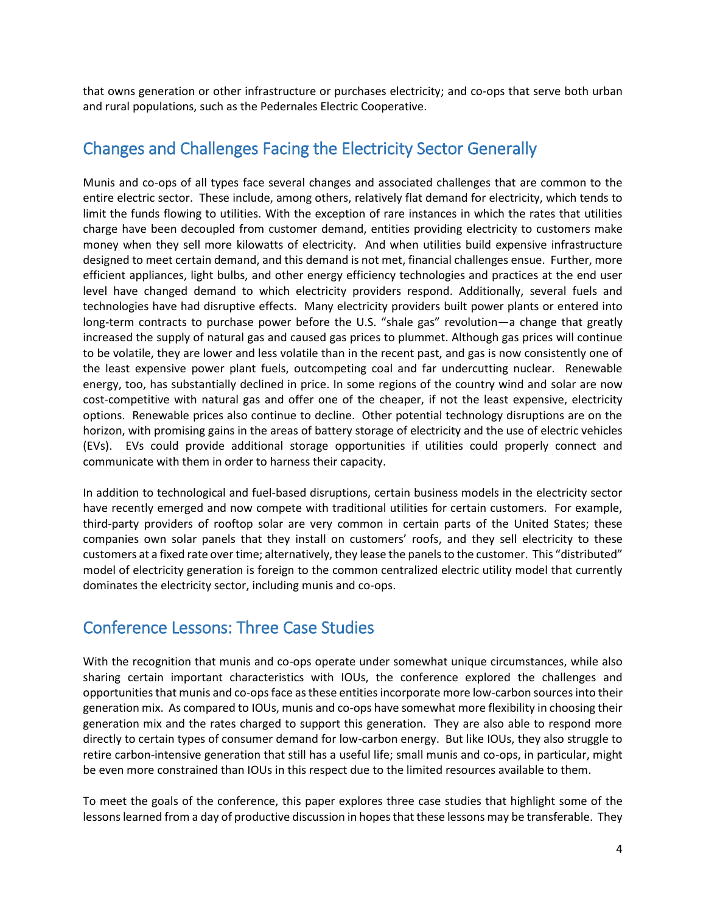that owns generation or other infrastructure or purchases electricity; and co-ops that serve both urban and rural populations, such as the Pedernales Electric Cooperative.

## Changes and Challenges Facing the Electricity Sector Generally

Munis and co-ops of all types face several changes and associated challenges that are common to the entire electric sector. These include, among others, relatively flat demand for electricity, which tends to limit the funds flowing to utilities. With the exception of rare instances in which the rates that utilities charge have been decoupled from customer demand, entities providing electricity to customers make money when they sell more kilowatts of electricity. And when utilities build expensive infrastructure designed to meet certain demand, and this demand is not met, financial challenges ensue. Further, more efficient appliances, light bulbs, and other energy efficiency technologies and practices at the end user level have changed demand to which electricity providers respond. Additionally, several fuels and technologies have had disruptive effects. Many electricity providers built power plants or entered into long-term contracts to purchase power before the U.S. "shale gas" revolution—a change that greatly increased the supply of natural gas and caused gas prices to plummet. Although gas prices will continue to be volatile, they are lower and less volatile than in the recent past, and gas is now consistently one of the least expensive power plant fuels, outcompeting coal and far undercutting nuclear. Renewable energy, too, has substantially declined in price. In some regions of the country wind and solar are now cost-competitive with natural gas and offer one of the cheaper, if not the least expensive, electricity options. Renewable prices also continue to decline. Other potential technology disruptions are on the horizon, with promising gains in the areas of battery storage of electricity and the use of electric vehicles (EVs). EVs could provide additional storage opportunities if utilities could properly connect and communicate with them in order to harness their capacity.

In addition to technological and fuel-based disruptions, certain business models in the electricity sector have recently emerged and now compete with traditional utilities for certain customers. For example, third-party providers of rooftop solar are very common in certain parts of the United States; these companies own solar panels that they install on customers' roofs, and they sell electricity to these customers at a fixed rate over time; alternatively, they lease the panels to the customer. This "distributed" model of electricity generation is foreign to the common centralized electric utility model that currently dominates the electricity sector, including munis and co-ops.

## Conference Lessons: Three Case Studies

With the recognition that munis and co-ops operate under somewhat unique circumstances, while also sharing certain important characteristics with IOUs, the conference explored the challenges and opportunities that munis and co-opsface as these entities incorporate more low-carbon sources into their generation mix. As compared to IOUs, munis and co-ops have somewhat more flexibility in choosing their generation mix and the rates charged to support this generation. They are also able to respond more directly to certain types of consumer demand for low-carbon energy. But like IOUs, they also struggle to retire carbon-intensive generation that still has a useful life; small munis and co-ops, in particular, might be even more constrained than IOUs in this respect due to the limited resources available to them.

To meet the goals of the conference, this paper explores three case studies that highlight some of the lessons learned from a day of productive discussion in hopes that these lessons may be transferable. They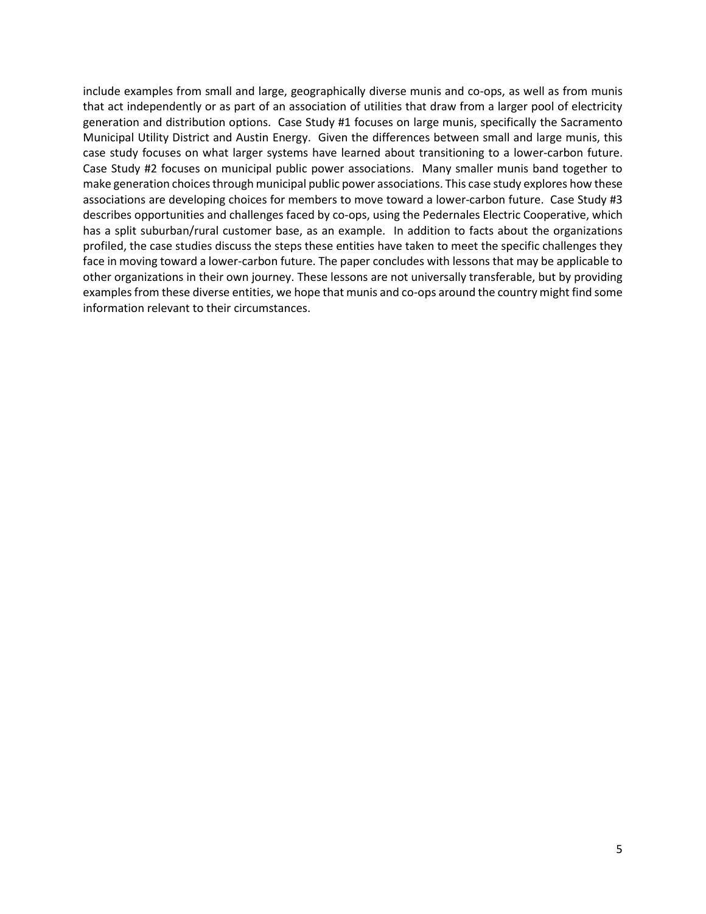include examples from small and large, geographically diverse munis and co-ops, as well as from munis that act independently or as part of an association of utilities that draw from a larger pool of electricity generation and distribution options. Case Study #1 focuses on large munis, specifically the Sacramento Municipal Utility District and Austin Energy. Given the differences between small and large munis, this case study focuses on what larger systems have learned about transitioning to a lower-carbon future. Case Study #2 focuses on municipal public power associations. Many smaller munis band together to make generation choices through municipal public power associations. This case study explores how these associations are developing choices for members to move toward a lower-carbon future. Case Study #3 describes opportunities and challenges faced by co-ops, using the Pedernales Electric Cooperative, which has a split suburban/rural customer base, as an example. In addition to facts about the organizations profiled, the case studies discuss the steps these entities have taken to meet the specific challenges they face in moving toward a lower-carbon future. The paper concludes with lessons that may be applicable to other organizations in their own journey. These lessons are not universally transferable, but by providing examples from these diverse entities, we hope that munis and co-ops around the country might find some information relevant to their circumstances.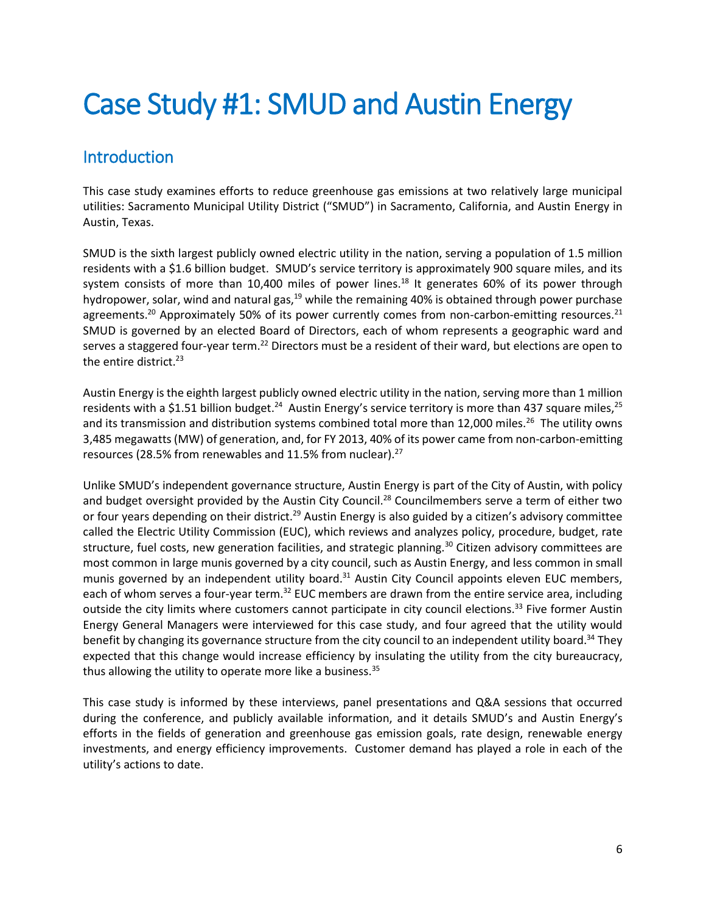# Case Study #1: SMUD and Austin Energy

## Introduction

This case study examines efforts to reduce greenhouse gas emissions at two relatively large municipal utilities: Sacramento Municipal Utility District ("SMUD") in Sacramento, California, and Austin Energy in Austin, Texas.

SMUD is the sixth largest publicly owned electric utility in the nation, serving a population of 1.5 million residents with a \$1.6 billion budget. SMUD's service territory is approximately 900 square miles, and its system consists of more than 10,400 miles of power lines.<sup>18</sup> It generates 60% of its power through hydropower, solar, wind and natural gas, $19$  while the remaining 40% is obtained through power purchase agreements.<sup>20</sup> Approximately 50% of its power currently comes from non-carbon-emitting resources.<sup>21</sup> SMUD is governed by an elected Board of Directors, each of whom represents a geographic ward and serves a staggered four-year term.<sup>22</sup> Directors must be a resident of their ward, but elections are open to the entire district.<sup>23</sup>

<span id="page-5-0"></span>Austin Energy is the eighth largest publicly owned electric utility in the nation, serving more than 1 million residents with a \$1.51 billion budget.<sup>24</sup> Austin Energy's service territory is more than 437 square miles,<sup>25</sup> and its transmission and distribution systems combined total more than 12,000 miles.<sup>26</sup> The utility owns 3,485 megawatts (MW) of generation, and, for FY 2013, 40% of its power came from non-carbon-emitting resources (28.5% from renewables and 11.5% from nuclear). $27$ 

<span id="page-5-1"></span>Unlike SMUD's independent governance structure, Austin Energy is part of the City of Austin, with policy and budget oversight provided by the Austin City Council.<sup>28</sup> Councilmembers serve a term of either two or four years depending on their district.<sup>29</sup> Austin Energy is also guided by a citizen's advisory committee called the Electric Utility Commission (EUC), which reviews and analyzes policy, procedure, budget, rate structure, fuel costs, new generation facilities, and strategic planning.<sup>30</sup> Citizen advisory committees are most common in large munis governed by a city council, such as Austin Energy, and less common in small munis governed by an independent utility board.<sup>31</sup> Austin City Council appoints eleven EUC members, each of whom serves a four-year term.<sup>32</sup> EUC members are drawn from the entire service area, including outside the city limits where customers cannot participate in city council elections.<sup>33</sup> Five former Austin Energy General Managers were interviewed for this case study, and four agreed that the utility would benefit by changing its governance structure from the city council to an independent utility board.<sup>34</sup> They expected that this change would increase efficiency by insulating the utility from the city bureaucracy, thus allowing the utility to operate more like a business.<sup>35</sup>

This case study is informed by these interviews, panel presentations and Q&A sessions that occurred during the conference, and publicly available information, and it details SMUD's and Austin Energy's efforts in the fields of generation and greenhouse gas emission goals, rate design, renewable energy investments, and energy efficiency improvements. Customer demand has played a role in each of the utility's actions to date.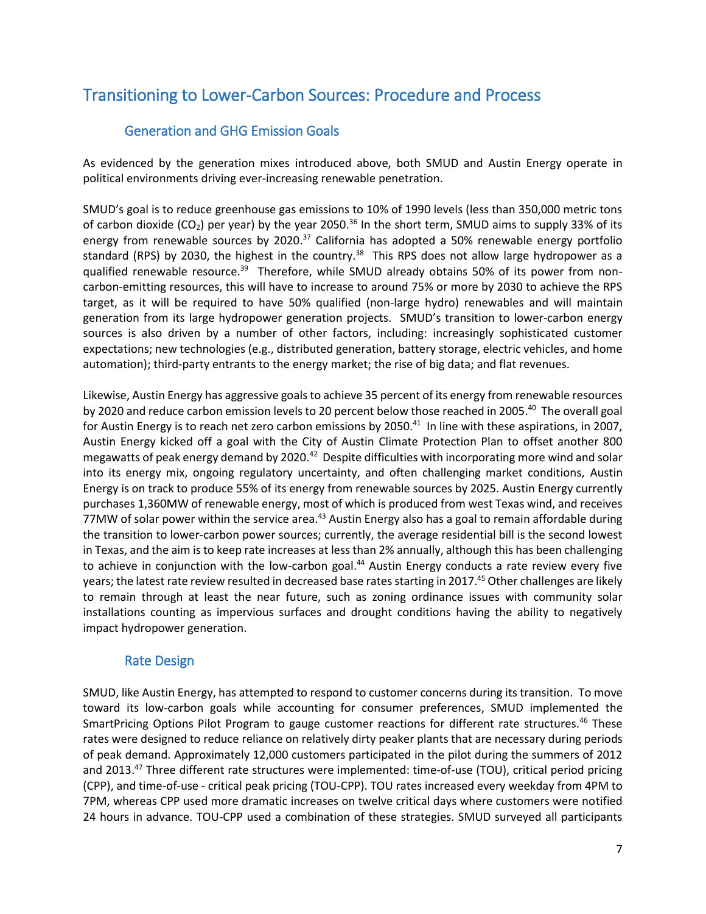# Transitioning to Lower-Carbon Sources: Procedure and Process

## Generation and GHG Emission Goals

As evidenced by the generation mixes introduced above, both SMUD and Austin Energy operate in political environments driving ever-increasing renewable penetration.

SMUD's goal is to reduce greenhouse gas emissions to 10% of 1990 levels (less than 350,000 metric tons of carbon dioxide (CO<sub>2</sub>) per year) by the year 2050.<sup>36</sup> In the short term, SMUD aims to supply 33% of its energy from renewable sources by 2020.<sup>37</sup> California has adopted a 50% renewable energy portfolio standard (RPS) by 2030, the highest in the country.<sup>38</sup> This RPS does not allow large hydropower as a qualified renewable resource.<sup>39</sup> Therefore, while SMUD already obtains 50% of its power from noncarbon-emitting resources, this will have to increase to around 75% or more by 2030 to achieve the RPS target, as it will be required to have 50% qualified (non-large hydro) renewables and will maintain generation from its large hydropower generation projects. SMUD's transition to lower-carbon energy sources is also driven by a number of other factors, including: increasingly sophisticated customer expectations; new technologies (e.g., distributed generation, battery storage, electric vehicles, and home automation); third-party entrants to the energy market; the rise of big data; and flat revenues.

Likewise, Austin Energy has aggressive goals to achieve 35 percent of its energy from renewable resources by 2020 and reduce carbon emission levels to 20 percent below those reached in 2005.<sup>40</sup> The overall goal for Austin Energy is to reach net zero carbon emissions by 2050.<sup>41</sup> In line with these aspirations, in 2007, Austin Energy kicked off a goal with the City of Austin Climate Protection Plan to offset another 800 megawatts of peak energy demand by 2020.<sup>42</sup> Despite difficulties with incorporating more wind and solar into its energy mix, ongoing regulatory uncertainty, and often challenging market conditions, Austin Energy is on track to produce 55% of its energy from renewable sources by 2025. Austin Energy currently purchases 1,360MW of renewable energy, most of which is produced from west Texas wind, and receives 77MW of solar power within the service area.<sup>43</sup> Austin Energy also has a goal to remain affordable during the transition to lower-carbon power sources; currently, the average residential bill is the second lowest in Texas, and the aim is to keep rate increases at less than 2% annually, although this has been challenging to achieve in conjunction with the low-carbon goal.<sup>44</sup> Austin Energy conducts a rate review every five years; the latest rate review resulted in decreased base rates starting in 2017.<sup>45</sup> Other challenges are likely to remain through at least the near future, such as zoning ordinance issues with community solar installations counting as impervious surfaces and drought conditions having the ability to negatively impact hydropower generation.

## Rate Design

SMUD, like Austin Energy, has attempted to respond to customer concerns during its transition. To move toward its low-carbon goals while accounting for consumer preferences, SMUD implemented the SmartPricing Options Pilot Program to gauge customer reactions for different rate structures.<sup>46</sup> These rates were designed to reduce reliance on relatively dirty peaker plants that are necessary during periods of peak demand. Approximately 12,000 customers participated in the pilot during the summers of 2012 and 2013.<sup>47</sup> Three different rate structures were implemented: time-of-use (TOU), critical period pricing (CPP), and time-of-use - critical peak pricing (TOU-CPP). TOU rates increased every weekday from 4PM to 7PM, whereas CPP used more dramatic increases on twelve critical days where customers were notified 24 hours in advance. TOU-CPP used a combination of these strategies. SMUD surveyed all participants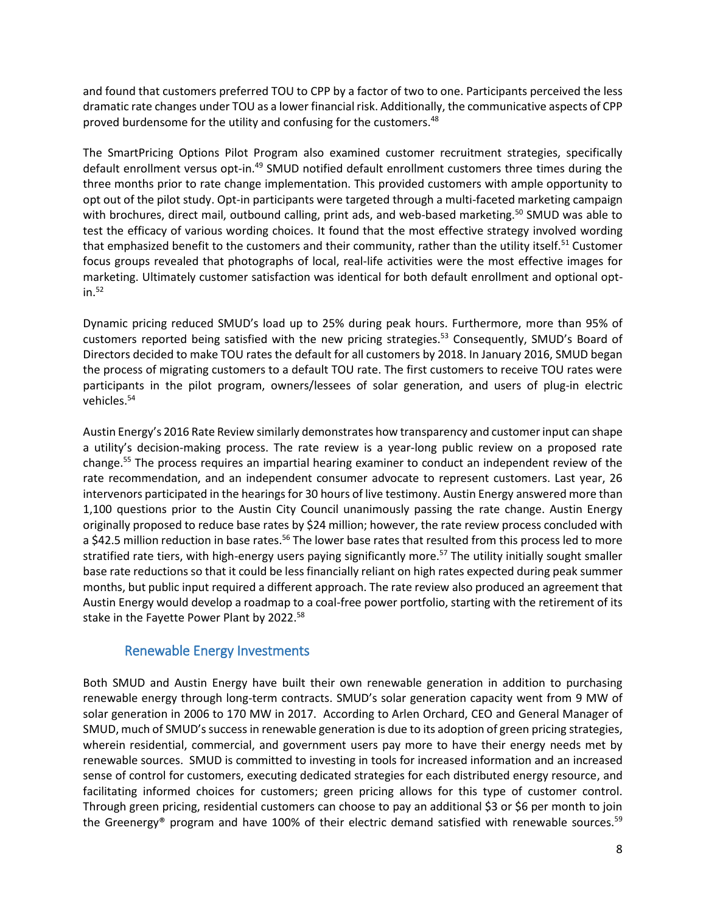and found that customers preferred TOU to CPP by a factor of two to one. Participants perceived the less dramatic rate changes under TOU as a lower financial risk. Additionally, the communicative aspects of CPP proved burdensome for the utility and confusing for the customers.<sup>48</sup>

The SmartPricing Options Pilot Program also examined customer recruitment strategies, specifically default enrollment versus opt-in.<sup>49</sup> SMUD notified default enrollment customers three times during the three months prior to rate change implementation. This provided customers with ample opportunity to opt out of the pilot study. Opt-in participants were targeted through a multi-faceted marketing campaign with brochures, direct mail, outbound calling, print ads, and web-based marketing.<sup>50</sup> SMUD was able to test the efficacy of various wording choices. It found that the most effective strategy involved wording that emphasized benefit to the customers and their community, rather than the utility itself.<sup>51</sup> Customer focus groups revealed that photographs of local, real-life activities were the most effective images for marketing. Ultimately customer satisfaction was identical for both default enrollment and optional optin.<sup>52</sup>

Dynamic pricing reduced SMUD's load up to 25% during peak hours. Furthermore, more than 95% of customers reported being satisfied with the new pricing strategies.<sup>53</sup> Consequently, SMUD's Board of Directors decided to make TOU rates the default for all customers by 2018. In January 2016, SMUD began the process of migrating customers to a default TOU rate. The first customers to receive TOU rates were participants in the pilot program, owners/lessees of solar generation, and users of plug-in electric vehicles.<sup>54</sup>

Austin Energy's 2016 Rate Review similarly demonstrates how transparency and customer input can shape a utility's decision-making process. The rate review is a year-long public review on a proposed rate change.<sup>55</sup> The process requires an impartial hearing examiner to conduct an independent review of the rate recommendation, and an independent consumer advocate to represent customers. Last year, 26 intervenors participated in the hearings for 30 hours of live testimony. Austin Energy answered more than 1,100 questions prior to the Austin City Council unanimously passing the rate change. Austin Energy originally proposed to reduce base rates by \$24 million; however, the rate review process concluded with a \$42.5 million reduction in base rates.<sup>56</sup> The lower base rates that resulted from this process led to more stratified rate tiers, with high-energy users paying significantly more.<sup>57</sup> The utility initially sought smaller base rate reductions so that it could be less financially reliant on high rates expected during peak summer months, but public input required a different approach. The rate review also produced an agreement that Austin Energy would develop a roadmap to a coal-free power portfolio, starting with the retirement of its stake in the Fayette Power Plant by 2022.<sup>58</sup>

#### Renewable Energy Investments

Both SMUD and Austin Energy have built their own renewable generation in addition to purchasing renewable energy through long-term contracts. SMUD's solar generation capacity went from 9 MW of solar generation in 2006 to 170 MW in 2017. According to Arlen Orchard, CEO and General Manager of SMUD, much of SMUD's success in renewable generation is due to its adoption of green pricing strategies, wherein residential, commercial, and government users pay more to have their energy needs met by renewable sources. SMUD is committed to investing in tools for increased information and an increased sense of control for customers, executing dedicated strategies for each distributed energy resource, and facilitating informed choices for customers; green pricing allows for this type of customer control. Through green pricing, residential customers can choose to pay an additional \$3 or \$6 per month to join the Greenergy® program and have 100% of their electric demand satisfied with renewable sources.<sup>59</sup>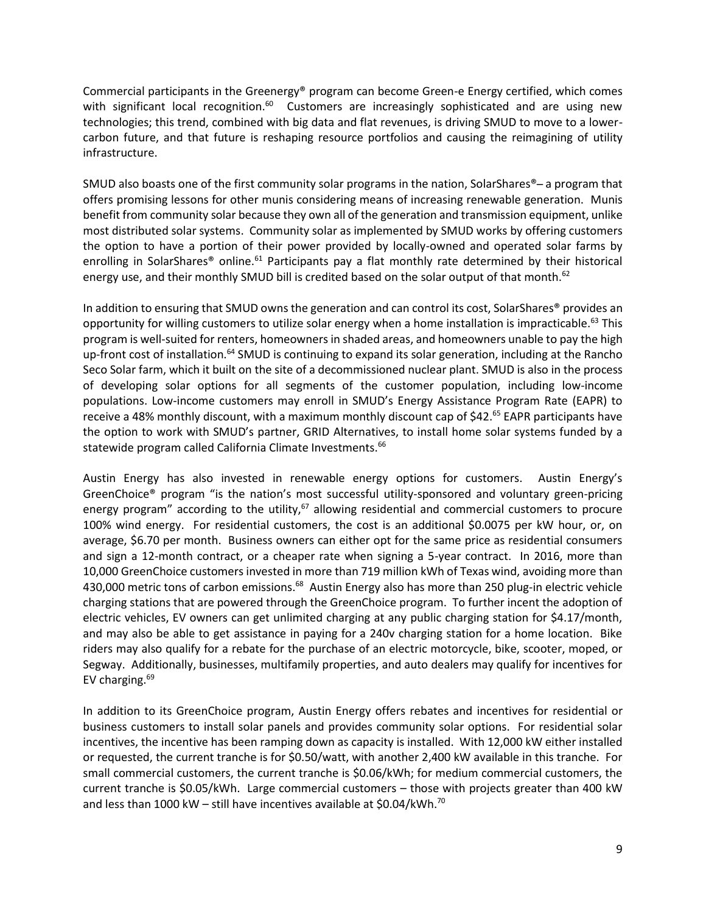Commercial participants in the Greenergy® program can become Green-e Energy certified, which comes with significant local recognition.<sup>60</sup> Customers are increasingly sophisticated and are using new technologies; this trend, combined with big data and flat revenues, is driving SMUD to move to a lowercarbon future, and that future is reshaping resource portfolios and causing the reimagining of utility infrastructure.

SMUD also boasts one of the first community solar programs in the nation, SolarShares®- a program that offers promising lessons for other munis considering means of increasing renewable generation. Munis benefit from community solar because they own all of the generation and transmission equipment, unlike most distributed solar systems. Community solar as implemented by SMUD works by offering customers the option to have a portion of their power provided by locally-owned and operated solar farms by enrolling in SolarShares<sup>®</sup> online.<sup>61</sup> Participants pay a flat monthly rate determined by their historical energy use, and their monthly SMUD bill is credited based on the solar output of that month.<sup>62</sup>

In addition to ensuring that SMUD owns the generation and can control its cost, SolarShares® provides an opportunity for willing customers to utilize solar energy when a home installation is impracticable.<sup>63</sup> This program is well-suited for renters, homeowners in shaded areas, and homeowners unable to pay the high up-front cost of installation.<sup>64</sup> SMUD is continuing to expand its solar generation, including at the Rancho Seco Solar farm, which it built on the site of a decommissioned nuclear plant. SMUD is also in the process of developing solar options for all segments of the customer population, including low-income populations. Low-income customers may enroll in SMUD's Energy Assistance Program Rate (EAPR) to receive a 48% monthly discount, with a maximum monthly discount cap of \$42.<sup>65</sup> EAPR participants have the option to work with SMUD's partner, GRID Alternatives, to install home solar systems funded by a statewide program called California Climate Investments.<sup>66</sup>

Austin Energy has also invested in renewable energy options for customers. Austin Energy's GreenChoice® program "is the nation's most successful utility-sponsored and voluntary green-pricing energy program" according to the utility, $67$  allowing residential and commercial customers to procure 100% wind energy. For residential customers, the cost is an additional \$0.0075 per kW hour, or, on average, \$6.70 per month. Business owners can either opt for the same price as residential consumers and sign a 12-month contract, or a cheaper rate when signing a 5-year contract. In 2016, more than 10,000 GreenChoice customers invested in more than 719 million kWh of Texas wind, avoiding more than 430,000 metric tons of carbon emissions.<sup>68</sup> Austin Energy also has more than 250 plug-in electric vehicle charging stations that are powered through the GreenChoice program. To further incent the adoption of electric vehicles, EV owners can get unlimited charging at any public charging station for \$4.17/month, and may also be able to get assistance in paying for a 240v charging station for a home location. Bike riders may also qualify for a rebate for the purchase of an electric motorcycle, bike, scooter, moped, or Segway. Additionally, businesses, multifamily properties, and auto dealers may qualify for incentives for EV charging. $69$ 

In addition to its GreenChoice program, Austin Energy offers rebates and incentives for residential or business customers to install solar panels and provides community solar options. For residential solar incentives, the incentive has been ramping down as capacity is installed. With 12,000 kW either installed or requested, the current tranche is for \$0.50/watt, with another 2,400 kW available in this tranche. For small commercial customers, the current tranche is \$0.06/kWh; for medium commercial customers, the current tranche is \$0.05/kWh. Large commercial customers – those with projects greater than 400 kW and less than 1000 kW – still have incentives available at \$0.04/kWh.<sup>70</sup>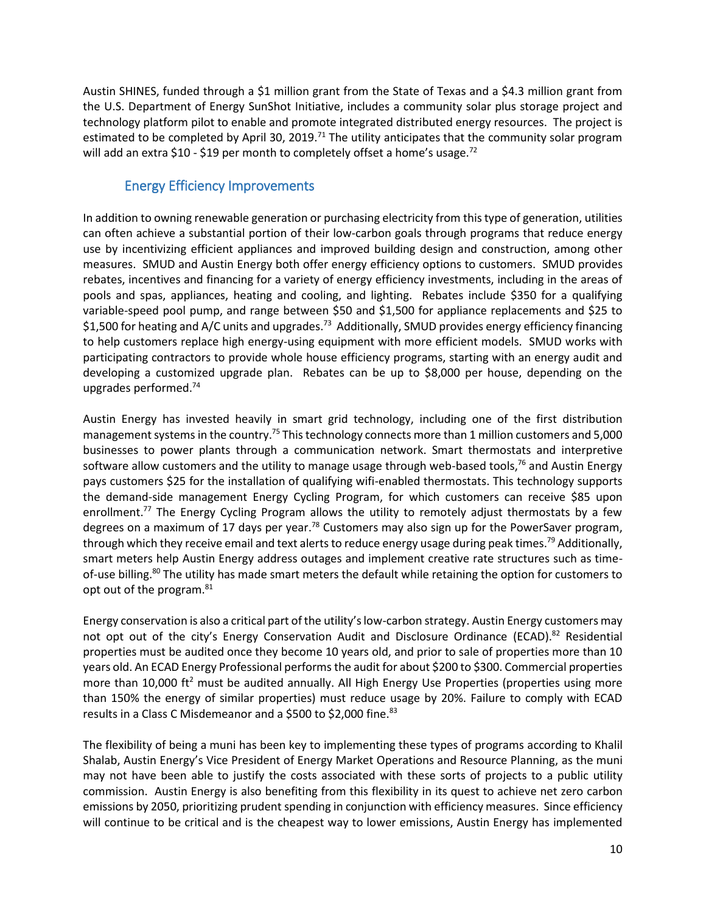Austin SHINES, funded through a \$1 million grant from the State of Texas and a \$4.3 million grant from the U.S. Department of Energy SunShot Initiative, includes a community solar plus storage project and technology platform pilot to enable and promote integrated distributed energy resources. The project is estimated to be completed by April 30, 2019.<sup>71</sup> The utility anticipates that the community solar program will add an extra \$10 - \$19 per month to completely offset a home's usage.<sup>72</sup>

## Energy Efficiency Improvements

In addition to owning renewable generation or purchasing electricity from this type of generation, utilities can often achieve a substantial portion of their low-carbon goals through programs that reduce energy use by incentivizing efficient appliances and improved building design and construction, among other measures. SMUD and Austin Energy both offer energy efficiency options to customers. SMUD provides rebates, incentives and financing for a variety of energy efficiency investments, including in the areas of pools and spas, appliances, heating and cooling, and lighting. Rebates include \$350 for a qualifying variable-speed pool pump, and range between \$50 and \$1,500 for appliance replacements and \$25 to \$1,500 for heating and A/C units and upgrades.<sup>73</sup> Additionally, SMUD provides energy efficiency financing to help customers replace high energy-using equipment with more efficient models. SMUD works with participating contractors to provide whole house efficiency programs, starting with an energy audit and developing a customized upgrade plan. Rebates can be up to \$8,000 per house, depending on the upgrades performed.<sup>74</sup>

Austin Energy has invested heavily in smart grid technology, including one of the first distribution management systems in the country.<sup>75</sup> This technology connects more than 1 million customers and 5,000 businesses to power plants through a communication network. Smart thermostats and interpretive software allow customers and the utility to manage usage through web-based tools,<sup>76</sup> and Austin Energy pays customers \$25 for the installation of qualifying wifi-enabled thermostats. This technology supports the demand-side management Energy Cycling Program, for which customers can receive \$85 upon enrollment.<sup>77</sup> The Energy Cycling Program allows the utility to remotely adjust thermostats by a few degrees on a maximum of 17 days per year.<sup>78</sup> Customers may also sign up for the PowerSaver program, through which they receive email and text alerts to reduce energy usage during peak times.<sup>79</sup> Additionally, smart meters help Austin Energy address outages and implement creative rate structures such as timeof-use billing.<sup>80</sup> The utility has made smart meters the default while retaining the option for customers to opt out of the program.<sup>81</sup>

Energy conservation is also a critical part of the utility's low-carbon strategy. Austin Energy customers may not opt out of the city's Energy Conservation Audit and Disclosure Ordinance (ECAD).<sup>82</sup> Residential properties must be audited once they become 10 years old, and prior to sale of properties more than 10 years old. An ECAD Energy Professional performs the audit for about \$200 to \$300. Commercial properties more than 10,000 ft<sup>2</sup> must be audited annually. All High Energy Use Properties (properties using more than 150% the energy of similar properties) must reduce usage by 20%. Failure to comply with ECAD results in a Class C Misdemeanor and a \$500 to \$2,000 fine.<sup>83</sup>

The flexibility of being a muni has been key to implementing these types of programs according to Khalil Shalab, Austin Energy's Vice President of Energy Market Operations and Resource Planning, as the muni may not have been able to justify the costs associated with these sorts of projects to a public utility commission. Austin Energy is also benefiting from this flexibility in its quest to achieve net zero carbon emissions by 2050, prioritizing prudent spending in conjunction with efficiency measures. Since efficiency will continue to be critical and is the cheapest way to lower emissions, Austin Energy has implemented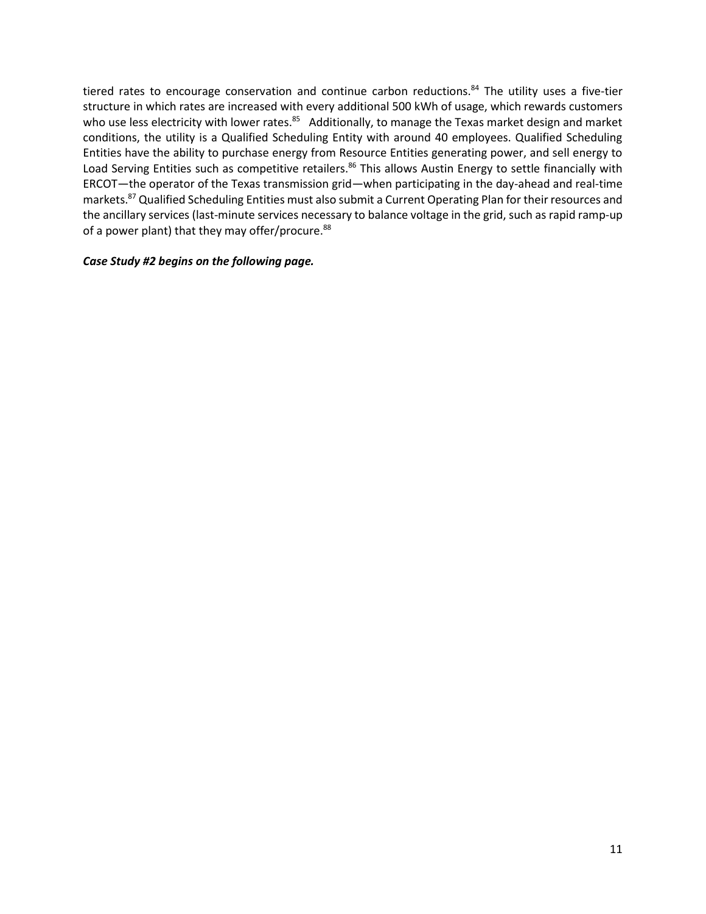tiered rates to encourage conservation and continue carbon reductions.<sup>84</sup> The utility uses a five-tier structure in which rates are increased with every additional 500 kWh of usage, which rewards customers who use less electricity with lower rates.<sup>85</sup> Additionally, to manage the Texas market design and market conditions, the utility is a Qualified Scheduling Entity with around 40 employees. Qualified Scheduling Entities have the ability to purchase energy from Resource Entities generating power, and sell energy to Load Serving Entities such as competitive retailers.<sup>86</sup> This allows Austin Energy to settle financially with ERCOT—the operator of the Texas transmission grid—when participating in the day-ahead and real-time markets.<sup>87</sup> Qualified Scheduling Entities must also submit a Current Operating Plan for their resources and the ancillary services (last-minute services necessary to balance voltage in the grid, such as rapid ramp-up of a power plant) that they may offer/procure.<sup>88</sup>

#### *Case Study #2 begins on the following page.*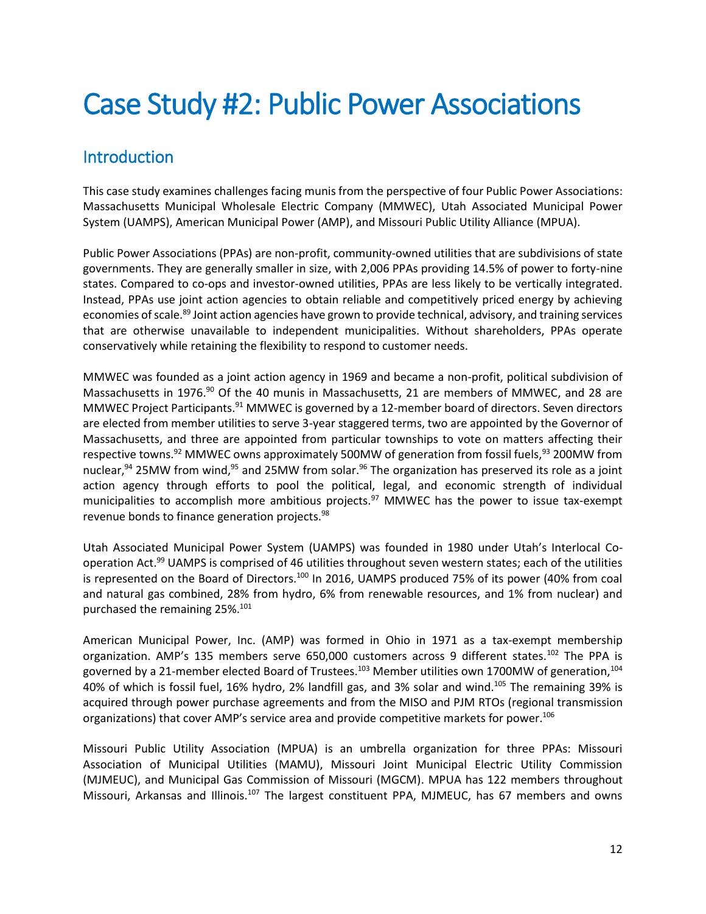# Case Study #2: Public Power Associations

## Introduction

This case study examines challenges facing munis from the perspective of four Public Power Associations: Massachusetts Municipal Wholesale Electric Company (MMWEC), Utah Associated Municipal Power System (UAMPS), American Municipal Power (AMP), and Missouri Public Utility Alliance (MPUA).

Public Power Associations (PPAs) are non-profit, community-owned utilities that are subdivisions of state governments. They are generally smaller in size, with 2,006 PPAs providing 14.5% of power to forty-nine states. Compared to co-ops and investor-owned utilities, PPAs are less likely to be vertically integrated. Instead, PPAs use joint action agencies to obtain reliable and competitively priced energy by achieving economies of scale.<sup>89</sup> Joint action agencies have grown to provide technical, advisory, and training services that are otherwise unavailable to independent municipalities. Without shareholders, PPAs operate conservatively while retaining the flexibility to respond to customer needs.

MMWEC was founded as a joint action agency in 1969 and became a non-profit, political subdivision of Massachusetts in 1976.<sup>90</sup> Of the 40 munis in Massachusetts, 21 are members of MMWEC, and 28 are MMWEC Project Participants.<sup>91</sup> MMWEC is governed by a 12-member board of directors. Seven directors are elected from member utilities to serve 3-year staggered terms, two are appointed by the Governor of Massachusetts, and three are appointed from particular townships to vote on matters affecting their respective towns.<sup>92</sup> MMWEC owns approximately 500MW of generation from fossil fuels,<sup>93</sup> 200MW from nuclear,<sup>94</sup> 25MW from wind,<sup>95</sup> and 25MW from solar.<sup>96</sup> The organization has preserved its role as a joint action agency through efforts to pool the political, legal, and economic strength of individual municipalities to accomplish more ambitious projects.<sup>97</sup> MMWEC has the power to issue tax-exempt revenue bonds to finance generation projects.<sup>98</sup>

<span id="page-11-0"></span>Utah Associated Municipal Power System (UAMPS) was founded in 1980 under Utah's Interlocal Cooperation Act.<sup>99</sup> UAMPS is comprised of 46 utilities throughout seven western states; each of the utilities is represented on the Board of Directors.<sup>100</sup> In 2016, UAMPS produced 75% of its power (40% from coal and natural gas combined, 28% from hydro, 6% from renewable resources, and 1% from nuclear) and purchased the remaining 25%.<sup>101</sup>

American Municipal Power, Inc. (AMP) was formed in Ohio in 1971 as a tax-exempt membership organization. AMP's 135 members serve 650,000 customers across 9 different states.<sup>102</sup> The PPA is governed by a 21-member elected Board of Trustees.<sup>103</sup> Member utilities own 1700MW of generation,<sup>104</sup> 40% of which is fossil fuel, 16% hydro, 2% landfill gas, and 3% solar and wind.<sup>105</sup> The remaining 39% is acquired through power purchase agreements and from the MISO and PJM RTOs (regional transmission organizations) that cover AMP's service area and provide competitive markets for power.<sup>106</sup>

Missouri Public Utility Association (MPUA) is an umbrella organization for three PPAs: Missouri Association of Municipal Utilities (MAMU), Missouri Joint Municipal Electric Utility Commission (MJMEUC), and Municipal Gas Commission of Missouri (MGCM). MPUA has 122 members throughout Missouri, Arkansas and Illinois.<sup>107</sup> The largest constituent PPA, MJMEUC, has 67 members and owns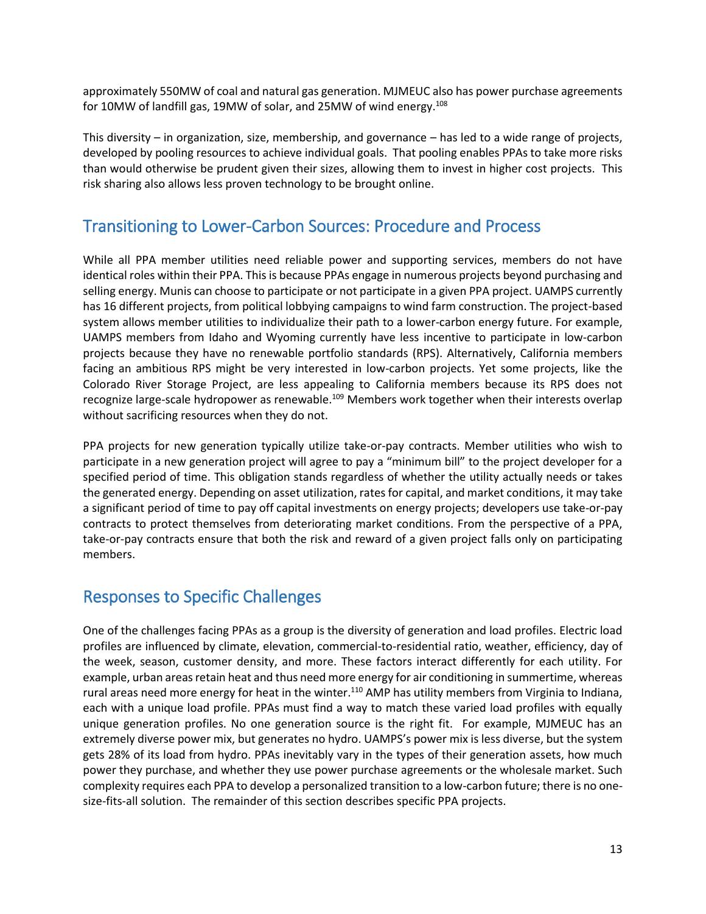approximately 550MW of coal and natural gas generation. MJMEUC also has power purchase agreements for 10MW of landfill gas, 19MW of solar, and 25MW of wind energy.<sup>108</sup>

This diversity – in organization, size, membership, and governance – has led to a wide range of projects, developed by pooling resources to achieve individual goals. That pooling enables PPAs to take more risks than would otherwise be prudent given their sizes, allowing them to invest in higher cost projects. This risk sharing also allows less proven technology to be brought online.

## Transitioning to Lower-Carbon Sources: Procedure and Process

While all PPA member utilities need reliable power and supporting services, members do not have identical roles within their PPA. This is because PPAs engage in numerous projects beyond purchasing and selling energy. Munis can choose to participate or not participate in a given PPA project. UAMPS currently has 16 different projects, from political lobbying campaigns to wind farm construction. The project-based system allows member utilities to individualize their path to a lower-carbon energy future. For example, UAMPS members from Idaho and Wyoming currently have less incentive to participate in low-carbon projects because they have no renewable portfolio standards (RPS). Alternatively, California members facing an ambitious RPS might be very interested in low-carbon projects. Yet some projects, like the Colorado River Storage Project, are less appealing to California members because its RPS does not recognize large-scale hydropower as renewable.<sup>109</sup> Members work together when their interests overlap without sacrificing resources when they do not.

PPA projects for new generation typically utilize take-or-pay contracts. Member utilities who wish to participate in a new generation project will agree to pay a "minimum bill" to the project developer for a specified period of time. This obligation stands regardless of whether the utility actually needs or takes the generated energy. Depending on asset utilization, rates for capital, and market conditions, it may take a significant period of time to pay off capital investments on energy projects; developers use take-or-pay contracts to protect themselves from deteriorating market conditions. From the perspective of a PPA, take-or-pay contracts ensure that both the risk and reward of a given project falls only on participating members.

## Responses to Specific Challenges

One of the challenges facing PPAs as a group is the diversity of generation and load profiles. Electric load profiles are influenced by climate, elevation, commercial-to-residential ratio, weather, efficiency, day of the week, season, customer density, and more. These factors interact differently for each utility. For example, urban areas retain heat and thus need more energy for air conditioning in summertime, whereas rural areas need more energy for heat in the winter.<sup>110</sup> AMP has utility members from Virginia to Indiana, each with a unique load profile. PPAs must find a way to match these varied load profiles with equally unique generation profiles. No one generation source is the right fit. For example, MJMEUC has an extremely diverse power mix, but generates no hydro. UAMPS's power mix is less diverse, but the system gets 28% of its load from hydro. PPAs inevitably vary in the types of their generation assets, how much power they purchase, and whether they use power purchase agreements or the wholesale market. Such complexity requires each PPA to develop a personalized transition to a low-carbon future; there is no onesize-fits-all solution. The remainder of this section describes specific PPA projects.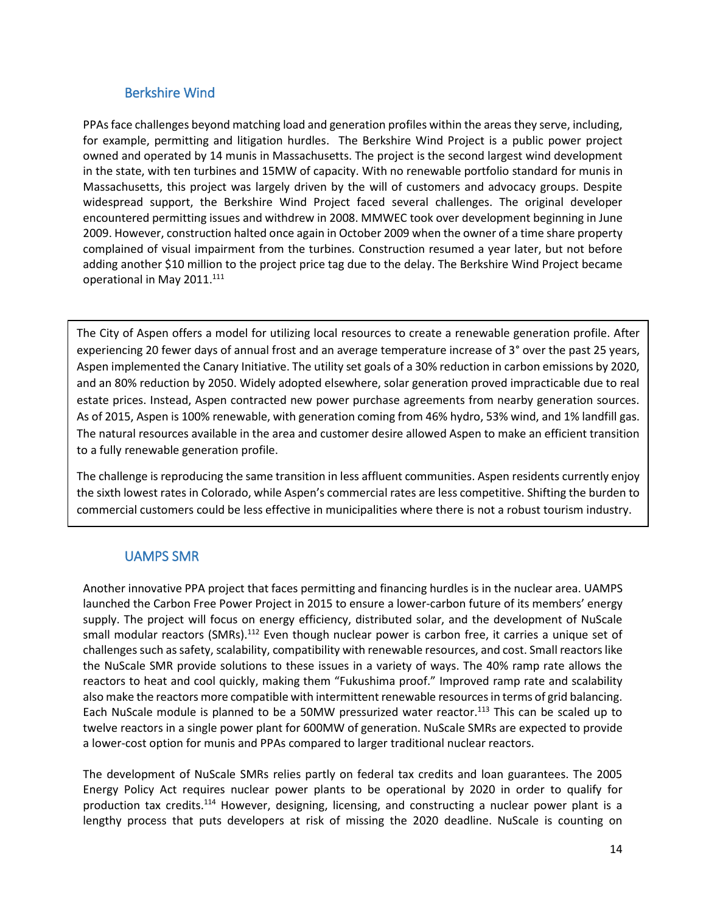### Berkshire Wind

PPAs face challenges beyond matching load and generation profiles within the areas they serve, including, for example, permitting and litigation hurdles. The Berkshire Wind Project is a public power project owned and operated by 14 munis in Massachusetts. The project is the second largest wind development in the state, with ten turbines and 15MW of capacity. With no renewable portfolio standard for munis in Massachusetts, this project was largely driven by the will of customers and advocacy groups. Despite widespread support, the Berkshire Wind Project faced several challenges. The original developer encountered permitting issues and withdrew in 2008. MMWEC took over development beginning in June 2009. However, construction halted once again in October 2009 when the owner of a time share property complained of visual impairment from the turbines. Construction resumed a year later, but not before adding another \$10 million to the project price tag due to the delay. The Berkshire Wind Project became operational in May 2011.<sup>111</sup>

The City of Aspen offers a model for utilizing local resources to create a renewable generation profile. After experiencing 20 fewer days of annual frost and an average temperature increase of 3° over the past 25 years, Aspen implemented the Canary Initiative. The utility set goals of a 30% reduction in carbon emissions by 2020, and an 80% reduction by 2050. Widely adopted elsewhere, solar generation proved impracticable due to real estate prices. Instead, Aspen contracted new power purchase agreements from nearby generation sources. As of 2015, Aspen is 100% renewable, with generation coming from 46% hydro, 53% wind, and 1% landfill gas. The natural resources available in the area and customer desire allowed Aspen to make an efficient transition to a fully renewable generation profile.

The challenge is reproducing the same transition in less affluent communities. Aspen residents currently enjoy the sixth lowest rates in Colorado, while Aspen's commercial rates are less competitive. Shifting the burden to commercial customers could be less effective in municipalities where there is not a robust tourism industry.

#### UAMPS SMR

Another innovative PPA project that faces permitting and financing hurdles is in the nuclear area. UAMPS launched the Carbon Free Power Project in 2015 to ensure a lower-carbon future of its members' energy supply. The project will focus on energy efficiency, distributed solar, and the development of NuScale small modular reactors (SMRs).<sup>112</sup> Even though nuclear power is carbon free, it carries a unique set of challenges such as safety, scalability, compatibility with renewable resources, and cost. Small reactors like the NuScale SMR provide solutions to these issues in a variety of ways. The 40% ramp rate allows the reactors to heat and cool quickly, making them "Fukushima proof." Improved ramp rate and scalability also make the reactors more compatible with intermittent renewable resources in terms of grid balancing. Each NuScale module is planned to be a 50MW pressurized water reactor.<sup>113</sup> This can be scaled up to twelve reactors in a single power plant for 600MW of generation. NuScale SMRs are expected to provide a lower-cost option for munis and PPAs compared to larger traditional nuclear reactors.

The development of NuScale SMRs relies partly on federal tax credits and loan guarantees. The 2005 Energy Policy Act requires nuclear power plants to be operational by 2020 in order to qualify for production tax credits.<sup>114</sup> However, designing, licensing, and constructing a nuclear power plant is a lengthy process that puts developers at risk of missing the 2020 deadline. NuScale is counting on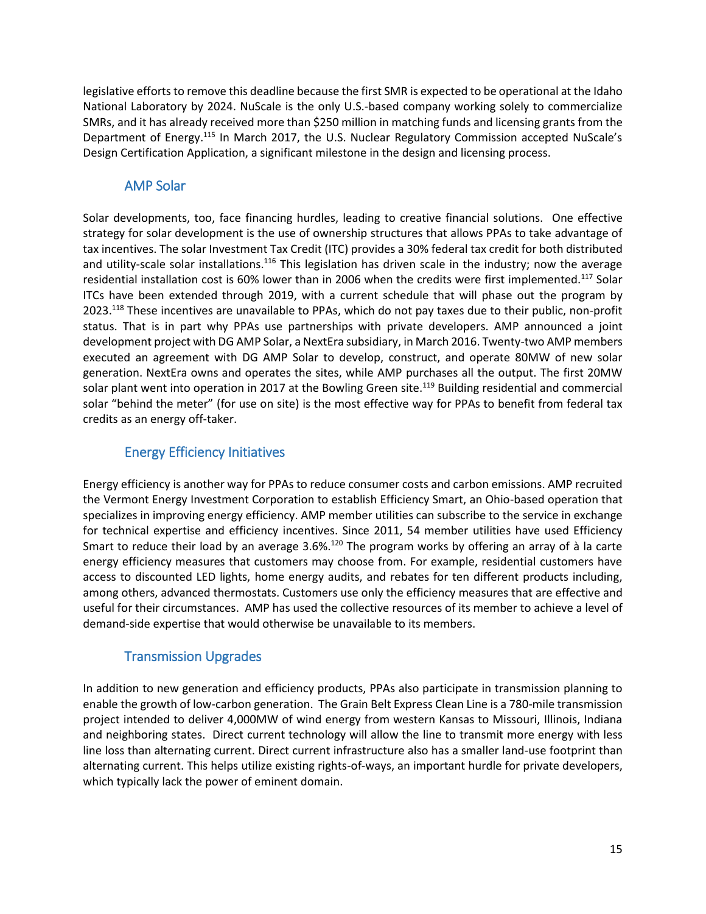legislative efforts to remove this deadline because the first SMR is expected to be operational at the Idaho National Laboratory by 2024. NuScale is the only U.S.-based company working solely to commercialize SMRs, and it has already received more than \$250 million in matching funds and licensing grants from the Department of Energy.<sup>115</sup> In March 2017, the U.S. Nuclear Regulatory Commission accepted NuScale's Design Certification Application, a significant milestone in the design and licensing process.

## AMP Solar

Solar developments, too, face financing hurdles, leading to creative financial solutions. One effective strategy for solar development is the use of ownership structures that allows PPAs to take advantage of tax incentives. The solar Investment Tax Credit (ITC) provides a 30% federal tax credit for both distributed and utility-scale solar installations.<sup>116</sup> This legislation has driven scale in the industry; now the average residential installation cost is 60% lower than in 2006 when the credits were first implemented.<sup>117</sup> Solar ITCs have been extended through 2019, with a current schedule that will phase out the program by 2023.<sup>118</sup> These incentives are unavailable to PPAs, which do not pay taxes due to their public, non-profit status. That is in part why PPAs use partnerships with private developers. AMP announced a joint development project with DG AMP Solar, a NextEra subsidiary, in March 2016. Twenty-two AMP members executed an agreement with DG AMP Solar to develop, construct, and operate 80MW of new solar generation. NextEra owns and operates the sites, while AMP purchases all the output. The first 20MW solar plant went into operation in 2017 at the Bowling Green site.<sup>119</sup> Building residential and commercial solar "behind the meter" (for use on site) is the most effective way for PPAs to benefit from federal tax credits as an energy off-taker.

## Energy Efficiency Initiatives

Energy efficiency is another way for PPAs to reduce consumer costs and carbon emissions. AMP recruited the Vermont Energy Investment Corporation to establish Efficiency Smart, an Ohio-based operation that specializes in improving energy efficiency. AMP member utilities can subscribe to the service in exchange for technical expertise and efficiency incentives. Since 2011, 54 member utilities have used Efficiency Smart to reduce their load by an average 3.6%.<sup>120</sup> The program works by offering an array of à la carte energy efficiency measures that customers may choose from. For example, residential customers have access to discounted LED lights, home energy audits, and rebates for ten different products including, among others, advanced thermostats. Customers use only the efficiency measures that are effective and useful for their circumstances. AMP has used the collective resources of its member to achieve a level of demand-side expertise that would otherwise be unavailable to its members.

## Transmission Upgrades

In addition to new generation and efficiency products, PPAs also participate in transmission planning to enable the growth of low-carbon generation. The Grain Belt Express Clean Line is a 780-mile transmission project intended to deliver 4,000MW of wind energy from western Kansas to Missouri, Illinois, Indiana and neighboring states. Direct current technology will allow the line to transmit more energy with less line loss than alternating current. Direct current infrastructure also has a smaller land-use footprint than alternating current. This helps utilize existing rights-of-ways, an important hurdle for private developers, which typically lack the power of eminent domain.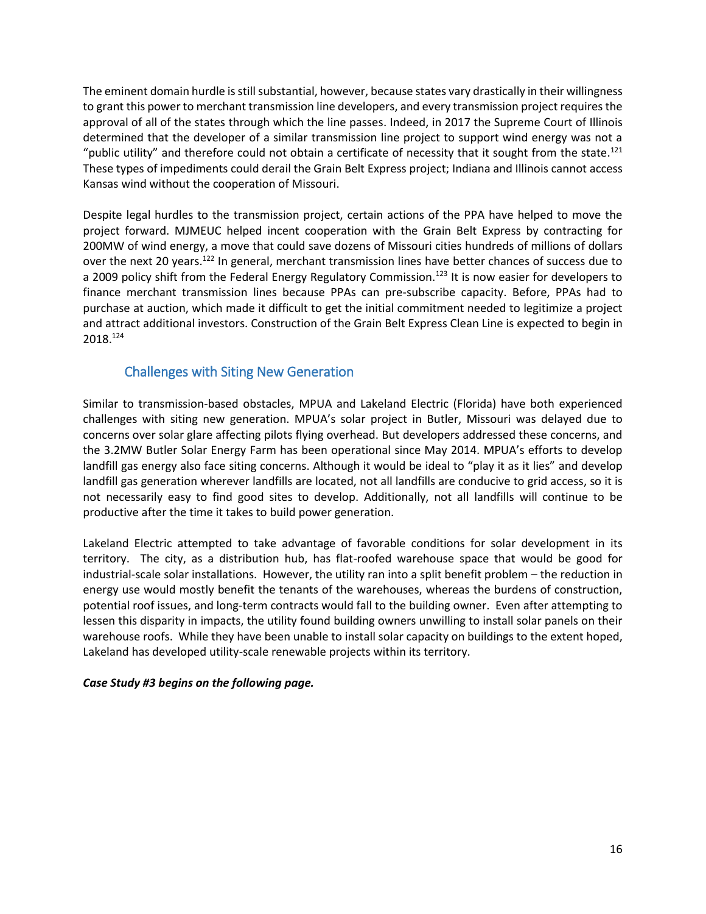The eminent domain hurdle is still substantial, however, because states vary drastically in their willingness to grant this power to merchant transmission line developers, and every transmission project requires the approval of all of the states through which the line passes. Indeed, in 2017 the Supreme Court of Illinois determined that the developer of a similar transmission line project to support wind energy was not a "public utility" and therefore could not obtain a certificate of necessity that it sought from the state.<sup>121</sup> These types of impediments could derail the Grain Belt Express project; Indiana and Illinois cannot access Kansas wind without the cooperation of Missouri.

Despite legal hurdles to the transmission project, certain actions of the PPA have helped to move the project forward. MJMEUC helped incent cooperation with the Grain Belt Express by contracting for 200MW of wind energy, a move that could save dozens of Missouri cities hundreds of millions of dollars over the next 20 years.<sup>122</sup> In general, merchant transmission lines have better chances of success due to a 2009 policy shift from the Federal Energy Regulatory Commission.<sup>123</sup> It is now easier for developers to finance merchant transmission lines because PPAs can pre-subscribe capacity. Before, PPAs had to purchase at auction, which made it difficult to get the initial commitment needed to legitimize a project and attract additional investors. Construction of the Grain Belt Express Clean Line is expected to begin in 2018.<sup>124</sup>

## Challenges with Siting New Generation

Similar to transmission-based obstacles, MPUA and Lakeland Electric (Florida) have both experienced challenges with siting new generation. MPUA's solar project in Butler, Missouri was delayed due to concerns over solar glare affecting pilots flying overhead. But developers addressed these concerns, and the 3.2MW Butler Solar Energy Farm has been operational since May 2014. MPUA's efforts to develop landfill gas energy also face siting concerns. Although it would be ideal to "play it as it lies" and develop landfill gas generation wherever landfills are located, not all landfills are conducive to grid access, so it is not necessarily easy to find good sites to develop. Additionally, not all landfills will continue to be productive after the time it takes to build power generation.

Lakeland Electric attempted to take advantage of favorable conditions for solar development in its territory. The city, as a distribution hub, has flat-roofed warehouse space that would be good for industrial-scale solar installations. However, the utility ran into a split benefit problem – the reduction in energy use would mostly benefit the tenants of the warehouses, whereas the burdens of construction, potential roof issues, and long-term contracts would fall to the building owner. Even after attempting to lessen this disparity in impacts, the utility found building owners unwilling to install solar panels on their warehouse roofs. While they have been unable to install solar capacity on buildings to the extent hoped, Lakeland has developed utility-scale renewable projects within its territory.

#### *Case Study #3 begins on the following page.*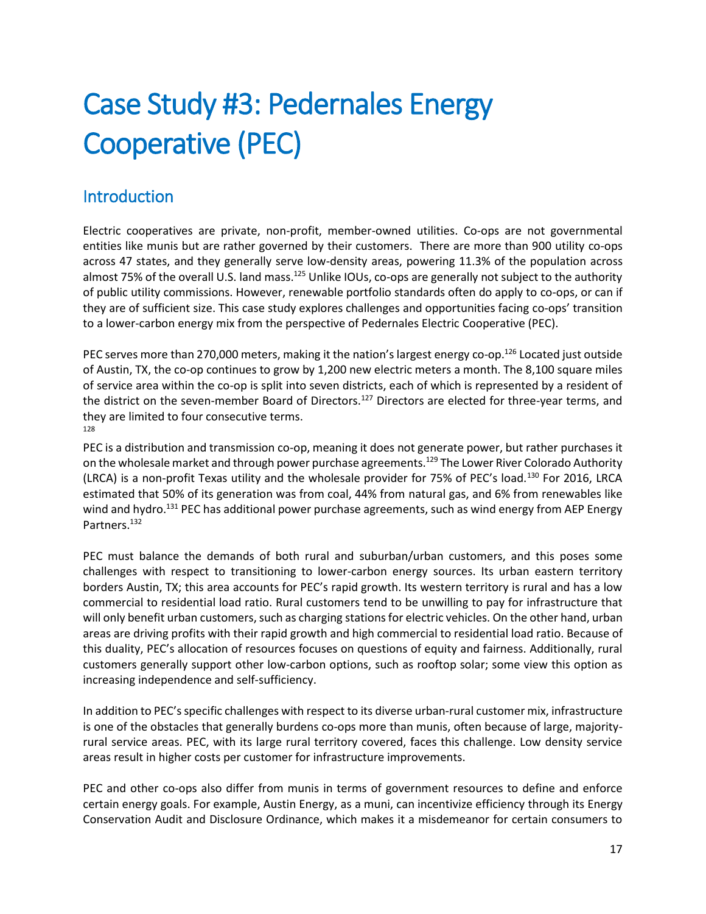# Case Study #3: Pedernales Energy Cooperative (PEC)

## Introduction

Electric cooperatives are private, non-profit, member-owned utilities. Co-ops are not governmental entities like munis but are rather governed by their customers. There are more than 900 utility co-ops across 47 states, and they generally serve low-density areas, powering 11.3% of the population across almost 75% of the overall U.S. land mass.<sup>125</sup> Unlike IOUs, co-ops are generally not subject to the authority of public utility commissions. However, renewable portfolio standards often do apply to co-ops, or can if they are of sufficient size. This case study explores challenges and opportunities facing co-ops' transition to a lower-carbon energy mix from the perspective of Pedernales Electric Cooperative (PEC).

PEC serves more than 270,000 meters, making it the nation's largest energy co-op.<sup>126</sup> Located just outside of Austin, TX, the co-op continues to grow by 1,200 new electric meters a month. The 8,100 square miles of service area within the co-op is split into seven districts, each of which is represented by a resident of the district on the seven-member Board of Directors.<sup>127</sup> Directors are elected for three-year terms, and they are limited to four consecutive terms. 128

<span id="page-16-0"></span>PEC is a distribution and transmission co-op, meaning it does not generate power, but rather purchases it on the wholesale market and through power purchase agreements.<sup>129</sup> The Lower River Colorado Authority (LRCA) is a non-profit Texas utility and the wholesale provider for 75% of PEC's load.<sup>130</sup> For 2016, LRCA estimated that 50% of its generation was from coal, 44% from natural gas, and 6% from renewables like wind and hydro.<sup>131</sup> PEC has additional power purchase agreements, such as wind energy from AEP Energy Partners.<sup>132</sup>

PEC must balance the demands of both rural and suburban/urban customers, and this poses some challenges with respect to transitioning to lower-carbon energy sources. Its urban eastern territory borders Austin, TX; this area accounts for PEC's rapid growth. Its western territory is rural and has a low commercial to residential load ratio. Rural customers tend to be unwilling to pay for infrastructure that will only benefit urban customers, such as charging stations for electric vehicles. On the other hand, urban areas are driving profits with their rapid growth and high commercial to residential load ratio. Because of this duality, PEC's allocation of resources focuses on questions of equity and fairness. Additionally, rural customers generally support other low-carbon options, such as rooftop solar; some view this option as increasing independence and self-sufficiency.

In addition to PEC's specific challenges with respect to its diverse urban-rural customer mix, infrastructure is one of the obstacles that generally burdens co-ops more than munis, often because of large, majorityrural service areas. PEC, with its large rural territory covered, faces this challenge. Low density service areas result in higher costs per customer for infrastructure improvements.

PEC and other co-ops also differ from munis in terms of government resources to define and enforce certain energy goals. For example, Austin Energy, as a muni, can incentivize efficiency through its Energy Conservation Audit and Disclosure Ordinance, which makes it a misdemeanor for certain consumers to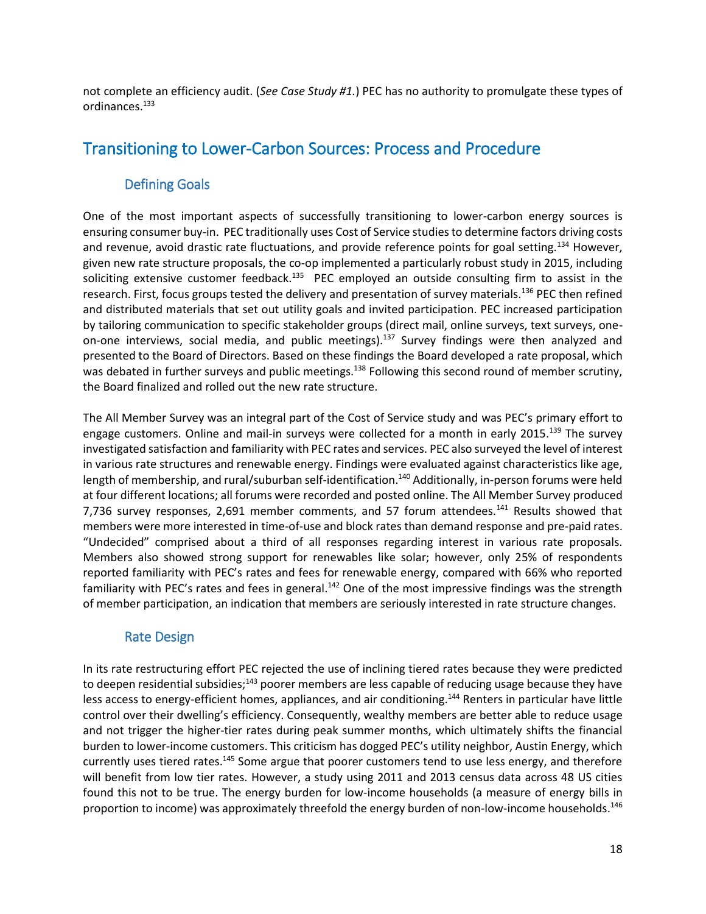not complete an efficiency audit. (*See Case Study #1.*) PEC has no authority to promulgate these types of ordinances.<sup>133</sup>

# Transitioning to Lower-Carbon Sources: Process and Procedure

### Defining Goals

One of the most important aspects of successfully transitioning to lower-carbon energy sources is ensuring consumer buy-in. PEC traditionally uses Cost of Service studies to determine factors driving costs and revenue, avoid drastic rate fluctuations, and provide reference points for goal setting.<sup>134</sup> However, given new rate structure proposals, the co-op implemented a particularly robust study in 2015, including soliciting extensive customer feedback.<sup>135</sup> PEC employed an outside consulting firm to assist in the research. First, focus groups tested the delivery and presentation of survey materials.<sup>136</sup> PEC then refined and distributed materials that set out utility goals and invited participation. PEC increased participation by tailoring communication to specific stakeholder groups (direct mail, online surveys, text surveys, oneon-one interviews, social media, and public meetings).<sup>137</sup> Survey findings were then analyzed and presented to the Board of Directors. Based on these findings the Board developed a rate proposal, which was debated in further surveys and public meetings.<sup>138</sup> Following this second round of member scrutiny, the Board finalized and rolled out the new rate structure.

The All Member Survey was an integral part of the Cost of Service study and was PEC's primary effort to engage customers. Online and mail-in surveys were collected for a month in early 2015.<sup>139</sup> The survey investigated satisfaction and familiarity with PEC rates and services. PEC also surveyed the level of interest in various rate structures and renewable energy. Findings were evaluated against characteristics like age, length of membership, and rural/suburban self-identification.<sup>140</sup> Additionally, in-person forums were held at four different locations; all forums were recorded and posted online. The All Member Survey produced 7,736 survey responses, 2,691 member comments, and 57 forum attendees.<sup>141</sup> Results showed that members were more interested in time-of-use and block rates than demand response and pre-paid rates. "Undecided" comprised about a third of all responses regarding interest in various rate proposals. Members also showed strong support for renewables like solar; however, only 25% of respondents reported familiarity with PEC's rates and fees for renewable energy, compared with 66% who reported familiarity with PEC's rates and fees in general.<sup>142</sup> One of the most impressive findings was the strength of member participation, an indication that members are seriously interested in rate structure changes.

#### Rate Design

In its rate restructuring effort PEC rejected the use of inclining tiered rates because they were predicted to deepen residential subsidies; $<sup>143</sup>$  poorer members are less capable of reducing usage because they have</sup> less access to energy-efficient homes, appliances, and air conditioning.<sup>144</sup> Renters in particular have little control over their dwelling's efficiency. Consequently, wealthy members are better able to reduce usage and not trigger the higher-tier rates during peak summer months, which ultimately shifts the financial burden to lower-income customers. This criticism has dogged PEC's utility neighbor, Austin Energy, which currently uses tiered rates.<sup>145</sup> Some argue that poorer customers tend to use less energy, and therefore will benefit from low tier rates. However, a study using 2011 and 2013 census data across 48 US cities found this not to be true. The energy burden for low-income households (a measure of energy bills in proportion to income) was approximately threefold the energy burden of non-low-income households.<sup>146</sup>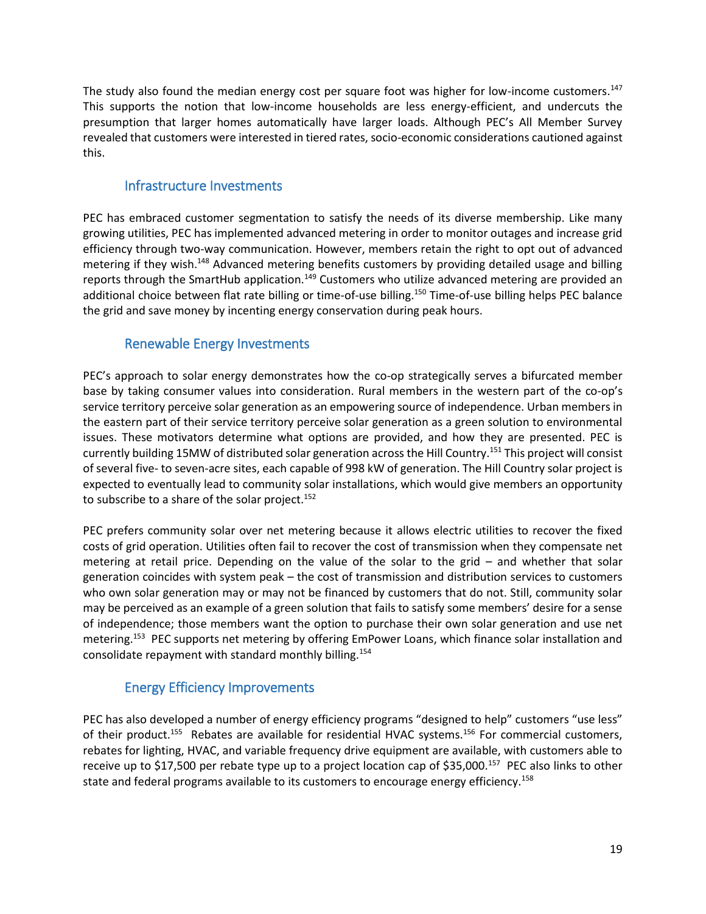The study also found the median energy cost per square foot was higher for low-income customers.<sup>147</sup> This supports the notion that low-income households are less energy-efficient, and undercuts the presumption that larger homes automatically have larger loads. Although PEC's All Member Survey revealed that customers were interested in tiered rates, socio-economic considerations cautioned against this.

### Infrastructure Investments

PEC has embraced customer segmentation to satisfy the needs of its diverse membership. Like many growing utilities, PEC has implemented advanced metering in order to monitor outages and increase grid efficiency through two-way communication. However, members retain the right to opt out of advanced metering if they wish.<sup>148</sup> Advanced metering benefits customers by providing detailed usage and billing reports through the SmartHub application.<sup>149</sup> Customers who utilize advanced metering are provided an additional choice between flat rate billing or time-of-use billing.<sup>150</sup> Time-of-use billing helps PEC balance the grid and save money by incenting energy conservation during peak hours.

#### Renewable Energy Investments

PEC's approach to solar energy demonstrates how the co-op strategically serves a bifurcated member base by taking consumer values into consideration. Rural members in the western part of the co-op's service territory perceive solar generation as an empowering source of independence. Urban members in the eastern part of their service territory perceive solar generation as a green solution to environmental issues. These motivators determine what options are provided, and how they are presented. PEC is currently building 15MW of distributed solar generation across the Hill Country.<sup>151</sup> This project will consist of several five- to seven-acre sites, each capable of 998 kW of generation. The Hill Country solar project is expected to eventually lead to community solar installations, which would give members an opportunity to subscribe to a share of the solar project.<sup>152</sup>

PEC prefers community solar over net metering because it allows electric utilities to recover the fixed costs of grid operation. Utilities often fail to recover the cost of transmission when they compensate net metering at retail price. Depending on the value of the solar to the grid – and whether that solar generation coincides with system peak – the cost of transmission and distribution services to customers who own solar generation may or may not be financed by customers that do not. Still, community solar may be perceived as an example of a green solution that fails to satisfy some members' desire for a sense of independence; those members want the option to purchase their own solar generation and use net metering.<sup>153</sup> PEC supports net metering by offering EmPower Loans, which finance solar installation and consolidate repayment with standard monthly billing.<sup>154</sup>

#### Energy Efficiency Improvements

PEC has also developed a number of energy efficiency programs "designed to help" customers "use less" of their product.<sup>155</sup> Rebates are available for residential HVAC systems.<sup>156</sup> For commercial customers, rebates for lighting, HVAC, and variable frequency drive equipment are available, with customers able to receive up to \$17,500 per rebate type up to a project location cap of \$35,000.<sup>157</sup> PEC also links to other state and federal programs available to its customers to encourage energy efficiency.<sup>158</sup>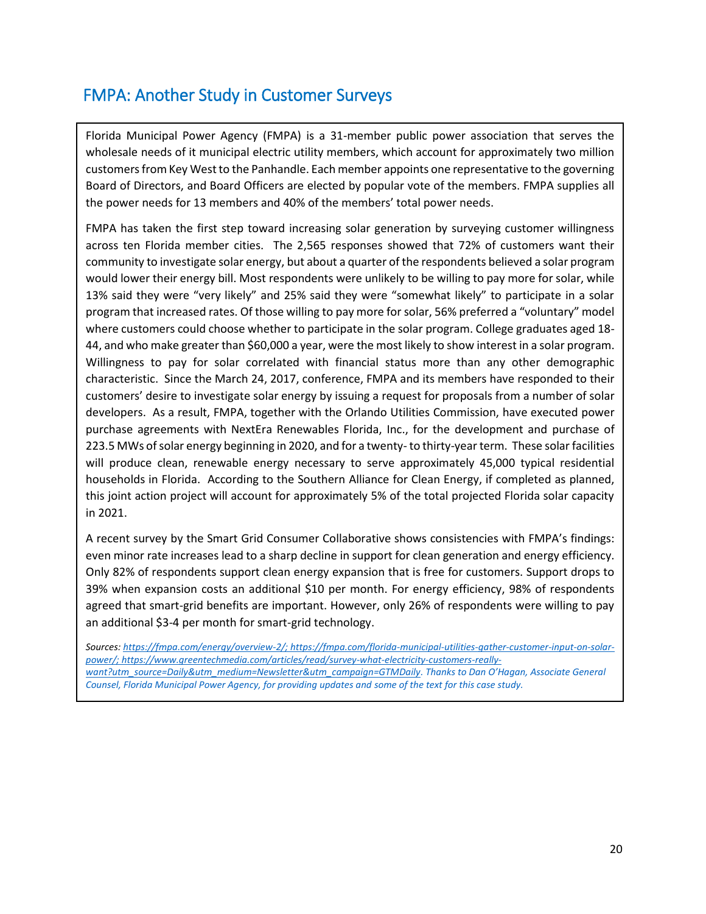# FMPA: Another Study in Customer Surveys

Florida Municipal Power Agency (FMPA) is a 31-member public power association that serves the wholesale needs of it municipal electric utility members, which account for approximately two million customers from Key West to the Panhandle. Each member appoints one representative to the governing Board of Directors, and Board Officers are elected by popular vote of the members. FMPA supplies all the power needs for 13 members and 40% of the members' total power needs.

FMPA has taken the first step toward increasing solar generation by surveying customer willingness across ten Florida member cities. The 2,565 responses showed that 72% of customers want their community to investigate solar energy, but about a quarter of the respondents believed a solar program would lower their energy bill. Most respondents were unlikely to be willing to pay more for solar, while 13% said they were "very likely" and 25% said they were "somewhat likely" to participate in a solar program that increased rates. Of those willing to pay more for solar, 56% preferred a "voluntary" model where customers could choose whether to participate in the solar program. College graduates aged 18- 44, and who make greater than \$60,000 a year, were the most likely to show interest in a solar program. Willingness to pay for solar correlated with financial status more than any other demographic characteristic. Since the March 24, 2017, conference, FMPA and its members have responded to their customers' desire to investigate solar energy by issuing a request for proposals from a number of solar developers. As a result, FMPA, together with the Orlando Utilities Commission, have executed power purchase agreements with NextEra Renewables Florida, Inc., for the development and purchase of 223.5 MWs of solar energy beginning in 2020, and for a twenty- to thirty-year term. These solar facilities will produce clean, renewable energy necessary to serve approximately 45,000 typical residential households in Florida. According to the Southern Alliance for Clean Energy, if completed as planned, this joint action project will account for approximately 5% of the total projected Florida solar capacity in 2021.

A recent survey by the Smart Grid Consumer Collaborative shows consistencies with FMPA's findings: even minor rate increases lead to a sharp decline in support for clean generation and energy efficiency. Only 82% of respondents support clean energy expansion that is free for customers. Support drops to 39% when expansion costs an additional \$10 per month. For energy efficiency, 98% of respondents agreed that smart-grid benefits are important. However, only 26% of respondents were willing to pay an additional \$3-4 per month for smart-grid technology.

*Sources: [https://fmpa.com/energy/overview-2/;](https://fmpa.com/energy/overview-2/) [https://fmpa.com/florida-municipal-utilities-gather-customer-input-on-solar](https://fmpa.com/florida-municipal-utilities-gather-customer-input-on-solar-power/)[power/;](https://fmpa.com/florida-municipal-utilities-gather-customer-input-on-solar-power/) [https://www.greentechmedia.com/articles/read/survey-what-electricity-customers-really](https://www.greentechmedia.com/articles/read/survey-what-electricity-customers-really-want?utm_source=Daily&utm_medium=Newsletter&utm_campaign=GTMDaily)[want?utm\\_source=Daily&utm\\_medium=Newsletter&utm\\_campaign=GTMDaily](https://www.greentechmedia.com/articles/read/survey-what-electricity-customers-really-want?utm_source=Daily&utm_medium=Newsletter&utm_campaign=GTMDaily). Thanks to Dan O'Hagan, Associate General Counsel, Florida Municipal Power Agency, for providing updates and some of the text for this case study.*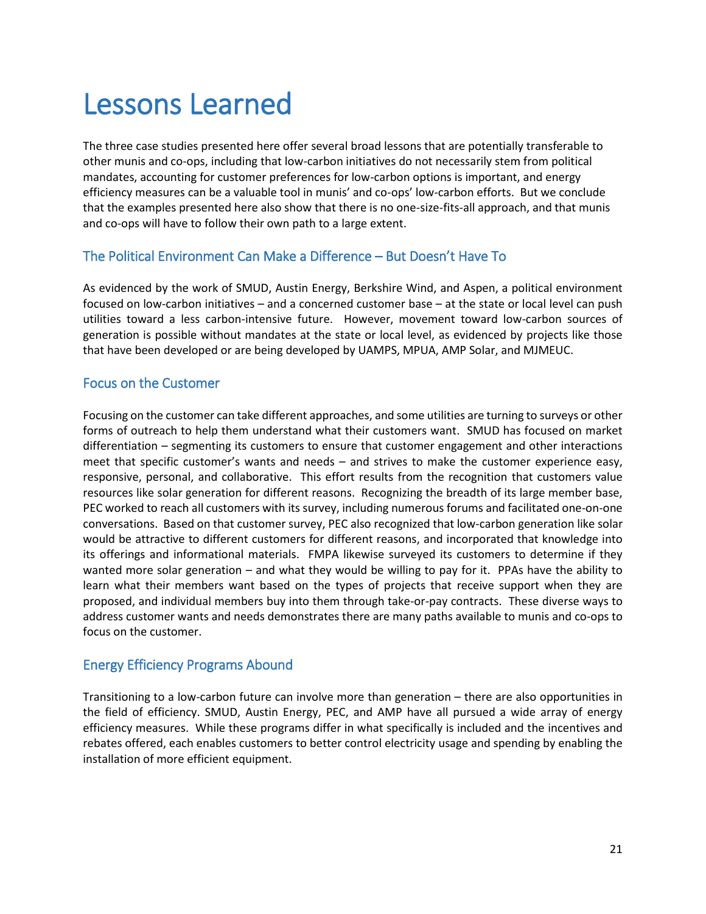# Lessons Learned

The three case studies presented here offer several broad lessons that are potentially transferable to other munis and co-ops, including that low-carbon initiatives do not necessarily stem from political mandates, accounting for customer preferences for low-carbon options is important, and energy efficiency measures can be a valuable tool in munis' and co-ops' low-carbon efforts. But we conclude that the examples presented here also show that there is no one-size-fits-all approach, and that munis and co-ops will have to follow their own path to a large extent.

#### The Political Environment Can Make a Difference – But Doesn't Have To

As evidenced by the work of SMUD, Austin Energy, Berkshire Wind, and Aspen, a political environment focused on low-carbon initiatives – and a concerned customer base – at the state or local level can push utilities toward a less carbon-intensive future. However, movement toward low-carbon sources of generation is possible without mandates at the state or local level, as evidenced by projects like those that have been developed or are being developed by UAMPS, MPUA, AMP Solar, and MJMEUC.

#### Focus on the Customer

Focusing on the customer can take different approaches, and some utilities are turning to surveys or other forms of outreach to help them understand what their customers want. SMUD has focused on market differentiation – segmenting its customers to ensure that customer engagement and other interactions meet that specific customer's wants and needs – and strives to make the customer experience easy, responsive, personal, and collaborative. This effort results from the recognition that customers value resources like solar generation for different reasons. Recognizing the breadth of its large member base, PEC worked to reach all customers with its survey, including numerous forums and facilitated one-on-one conversations. Based on that customer survey, PEC also recognized that low-carbon generation like solar would be attractive to different customers for different reasons, and incorporated that knowledge into its offerings and informational materials. FMPA likewise surveyed its customers to determine if they wanted more solar generation – and what they would be willing to pay for it. PPAs have the ability to learn what their members want based on the types of projects that receive support when they are proposed, and individual members buy into them through take-or-pay contracts. These diverse ways to address customer wants and needs demonstrates there are many paths available to munis and co-ops to focus on the customer.

#### Energy Efficiency Programs Abound

Transitioning to a low-carbon future can involve more than generation – there are also opportunities in the field of efficiency. SMUD, Austin Energy, PEC, and AMP have all pursued a wide array of energy efficiency measures. While these programs differ in what specifically is included and the incentives and rebates offered, each enables customers to better control electricity usage and spending by enabling the installation of more efficient equipment.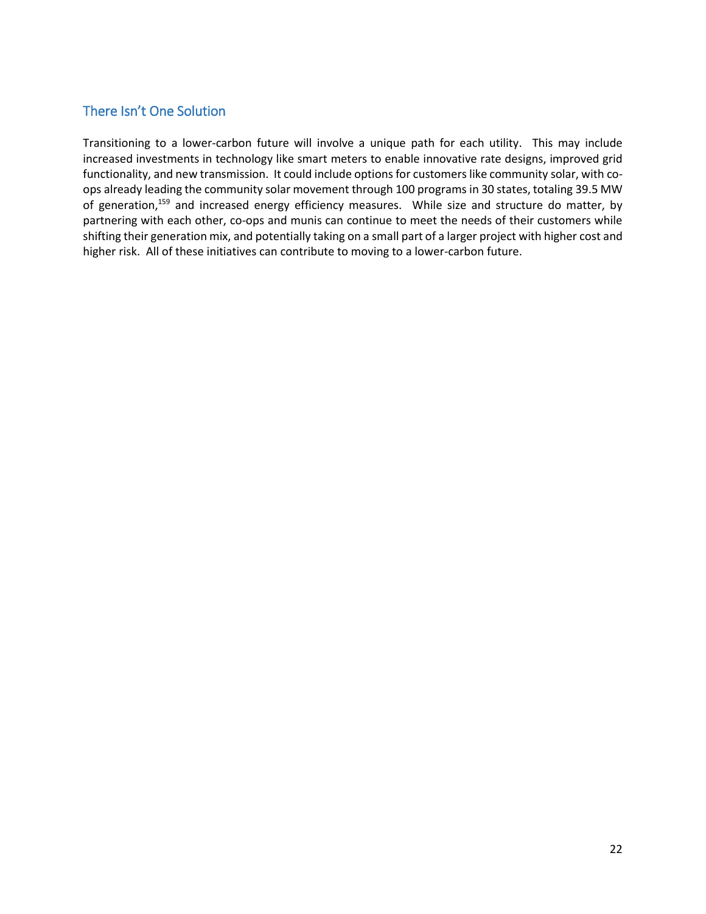### There Isn't One Solution

Transitioning to a lower-carbon future will involve a unique path for each utility. This may include increased investments in technology like smart meters to enable innovative rate designs, improved grid functionality, and new transmission. It could include options for customers like community solar, with coops already leading the community solar movement through 100 programs in 30 states, totaling 39.5 MW of generation,<sup>159</sup> and increased energy efficiency measures. While size and structure do matter, by partnering with each other, co-ops and munis can continue to meet the needs of their customers while shifting their generation mix, and potentially taking on a small part of a larger project with higher cost and higher risk. All of these initiatives can contribute to moving to a lower-carbon future.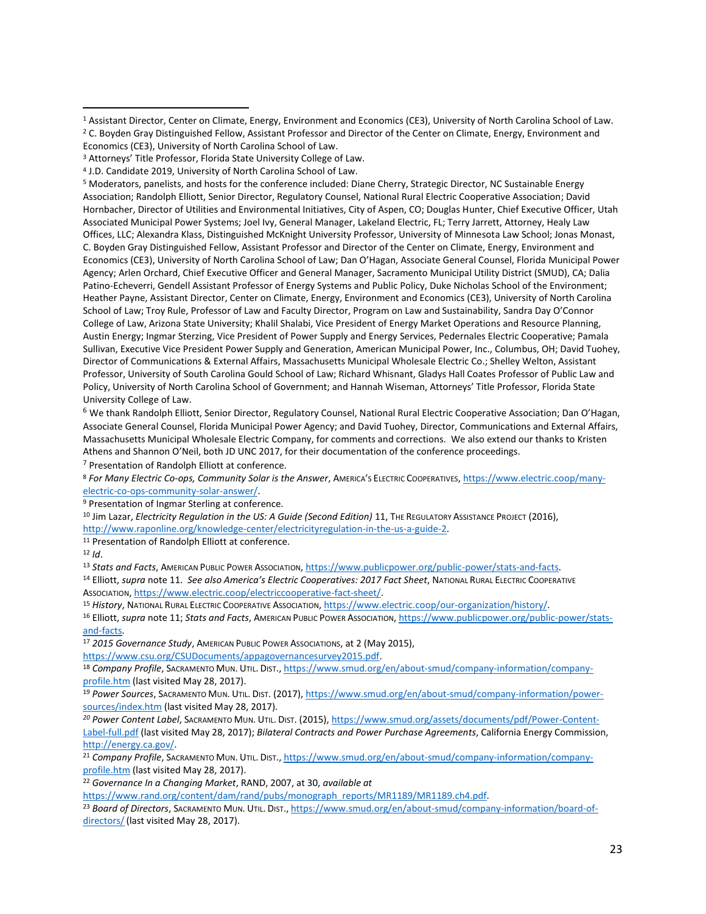<sup>5</sup> Moderators, panelists, and hosts for the conference included: Diane Cherry, Strategic Director, NC Sustainable Energy Association; Randolph Elliott, Senior Director, Regulatory Counsel, National Rural Electric Cooperative Association; David Hornbacher, Director of Utilities and Environmental Initiatives, City of Aspen, CO; Douglas Hunter, Chief Executive Officer, Utah Associated Municipal Power Systems; Joel Ivy, General Manager, Lakeland Electric, FL; Terry Jarrett, Attorney, Healy Law Offices, LLC; Alexandra Klass, Distinguished McKnight University Professor, University of Minnesota Law School; Jonas Monast, C. Boyden Gray Distinguished Fellow, Assistant Professor and Director of the Center on Climate, Energy, Environment and Economics (CE3), University of North Carolina School of Law; Dan O'Hagan, Associate General Counsel, Florida Municipal Power Agency; Arlen Orchard, Chief Executive Officer and General Manager, Sacramento Municipal Utility District (SMUD), CA; Dalia Patino-Echeverri, Gendell Assistant Professor of Energy Systems and Public Policy, Duke Nicholas School of the Environment; Heather Payne, Assistant Director, Center on Climate, Energy, Environment and Economics (CE3), University of North Carolina School of Law; Troy Rule, Professor of Law and Faculty Director, Program on Law and Sustainability, Sandra Day O'Connor College of Law, Arizona State University; Khalil Shalabi, Vice President of Energy Market Operations and Resource Planning, Austin Energy; Ingmar Sterzing, Vice President of Power Supply and Energy Services, Pedernales Electric Cooperative; Pamala Sullivan, Executive Vice President Power Supply and Generation, American Municipal Power, Inc., Columbus, OH; David Tuohey, Director of Communications & External Affairs, Massachusetts Municipal Wholesale Electric Co.; Shelley Welton, Assistant Professor, University of South Carolina Gould School of Law; Richard Whisnant, Gladys Hall Coates Professor of Public Law and Policy, University of North Carolina School of Government; and Hannah Wiseman, Attorneys' Title Professor, Florida State University College of Law.

<sup>6</sup> We thank Randolph Elliott, Senior Director, Regulatory Counsel, National Rural Electric Cooperative Association; Dan O'Hagan, Associate General Counsel, Florida Municipal Power Agency; and David Tuohey, Director, Communications and External Affairs, Massachusetts Municipal Wholesale Electric Company, for comments and corrections. We also extend our thanks to Kristen Athens and Shannon O'Neil, both JD UNC 2017, for their documentation of the conference proceedings.

<sup>7</sup> Presentation of Randolph Elliott at conference.

<sup>8</sup> *For Many Electric Co-ops, Community Solar is the Answer*, AMERICA'S ELECTRIC COOPERATIVES, [https://www.electric.coop/many](https://www.electric.coop/many-electric-co-ops-community-solar-answer/)[electric-co-ops-community-solar-answer/.](https://www.electric.coop/many-electric-co-ops-community-solar-answer/)

<sup>9</sup> Presentation of Ingmar Sterling at conference.

10 Jim Lazar, *Electricity Regulation in the US: A Guide (Second Edition)* 11, THE REGULATORY ASSISTANCE PROJECT (2016), [http://www.raponline.org/knowledge-center/electricityregulation-in-the-us-a-guide-2.](http://www.raponline.org/knowledge-center/electricityregulation-in-the-us-a-guide-2)

<sup>11</sup> Presentation of Randolph Elliott at conference.

<sup>12</sup> *Id*.

 $\overline{a}$ 

<sup>13</sup> *Stats and Facts*, AMERICAN PUBLIC POWER ASSOCIATION[, https://www.publicpower.org/public-power/stats-and-facts.](https://www.publicpower.org/public-power/stats-and-facts)

<sup>14</sup> Elliott, *supra* not[e 11.](#page-2-0) *See also America's Electric Cooperatives: 2017 Fact Sheet*, NATIONAL RURAL ELECTRIC COOPERATIVE ASSOCIATION[, https://www.electric.coop/electriccooperative-fact-sheet/.](https://www.electric.coop/electriccooperative-fact-sheet/)

<sup>15</sup> *History*, NATIONAL RURAL ELECTRIC COOPERATIVE ASSOCIATION[, https://www.electric.coop/our-organization/history/.](https://www.electric.coop/our-organization/history/)

<sup>16</sup> Elliott, *supra* not[e 11;](#page-2-0) *Stats and Facts*, AMERICAN PUBLIC POWER ASSOCIATION, [https://www.publicpower.org/public-power/stats](https://www.publicpower.org/public-power/stats-and-facts)[and-facts.](https://www.publicpower.org/public-power/stats-and-facts)

<sup>17</sup> *2015 Governance Study*, AMERICAN PUBLIC POWER ASSOCIATIONS, at 2 (May 2015), [https://www.csu.org/CSUDocuments/appagovernancesurvey2015.pdf.](https://www.csu.org/CSUDocuments/appagovernancesurvey2015.pdf)

<sup>18</sup> *Company Profile*, SACRAMENTO MUN. UTIL. DIST.[, https://www.smud.org/en/about-smud/company-information/company](https://www.smud.org/en/about-smud/company-information/company-profile.htm)[profile.htm](https://www.smud.org/en/about-smud/company-information/company-profile.htm) (last visited May 28, 2017).

<sup>19</sup> *Power Sources*, SACRAMENTO MUN. UTIL. DIST. (2017)[, https://www.smud.org/en/about-smud/company-information/power](https://www.smud.org/en/about-smud/company-information/power-sources/index.htm)[sources/index.htm](https://www.smud.org/en/about-smud/company-information/power-sources/index.htm) (last visited May 28, 2017).

*<sup>20</sup> Power Content Label*, SACRAMENTO MUN. UTIL. DIST. (2015)[, https://www.smud.org/assets/documents/pdf/Power-Content-](https://www.smud.org/assets/documents/pdf/Power-Content-Label-full.pdf)[Label-full.pdf](https://www.smud.org/assets/documents/pdf/Power-Content-Label-full.pdf) (last visited May 28, 2017); *Bilateral Contracts and Power Purchase Agreements*, California Energy Commission, [http://energy.ca.gov/.](http://energy.ca.gov/)

<sup>21</sup> *Company Profile*, SACRAMENTO MUN. UTIL. DIST.[, https://www.smud.org/en/about-smud/company-information/company](https://www.smud.org/en/about-smud/company-information/company-profile.htm)[profile.htm](https://www.smud.org/en/about-smud/company-information/company-profile.htm) (last visited May 28, 2017).

<sup>22</sup> *Governance In a Changing Market*, RAND, 2007, at 30, *available at* 

[https://www.rand.org/content/dam/rand/pubs/monograph\\_reports/MR1189/MR1189.ch4.pdf.](https://www.rand.org/content/dam/rand/pubs/monograph_reports/MR1189/MR1189.ch4.pdf)

<sup>23</sup> *Board of Directors*, SACRAMENTO MUN. UTIL. DIST., [https://www.smud.org/en/about-smud/company-information/board-of](https://www.smud.org/en/about-smud/company-information/board-of-directors/)[directors/\(](https://www.smud.org/en/about-smud/company-information/board-of-directors/)last visited May 28, 2017).

<sup>1</sup> Assistant Director, Center on Climate, Energy, Environment and Economics (CE3), University of North Carolina School of Law. <sup>2</sup> C. Boyden Gray Distinguished Fellow, Assistant Professor and Director of the Center on Climate, Energy, Environment and

Economics (CE3), University of North Carolina School of Law.

<sup>3</sup> Attorneys' Title Professor, Florida State University College of Law.

<sup>4</sup> J.D. Candidate 2019, University of North Carolina School of Law.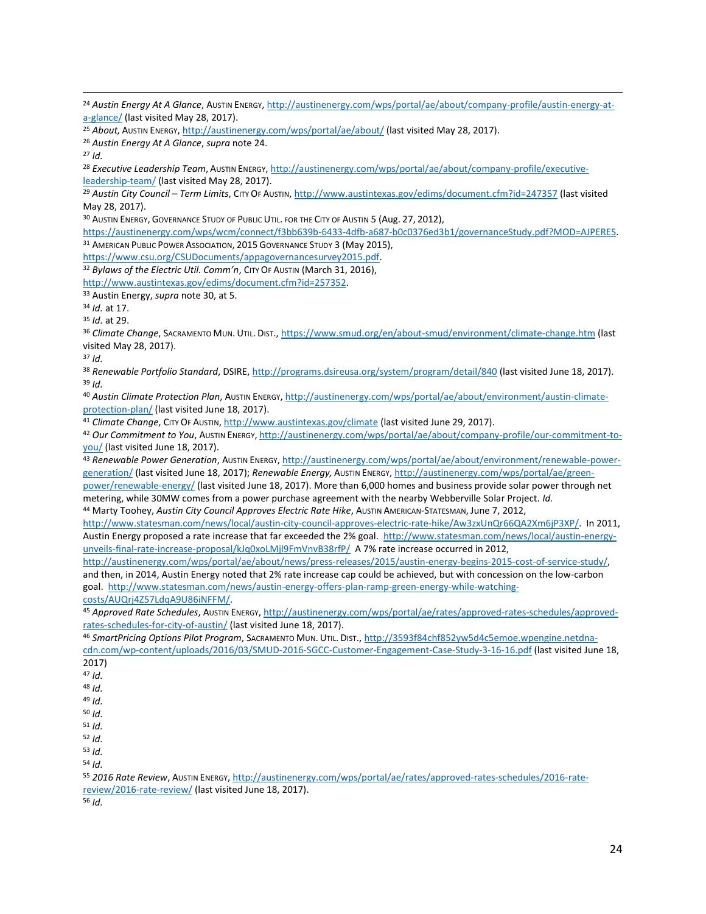$\overline{a}$ 

30 AUSTIN ENERGY, GOVERNANCE STUDY OF PUBLIC UTIL. FOR THE CITY OF AUSTIN 5 (Aug. 27, 2012),

[https://austinenergy.com/wps/wcm/connect/f3bb639b-6433-4dfb-a687-b0c0376ed3b1/governanceStudy.pdf?MOD=AJPERES.](https://austinenergy.com/wps/wcm/connect/f3bb639b-6433-4dfb-a687-b0c0376ed3b1/governanceStudy.pdf?MOD=AJPERES) <sup>31</sup> AMERICAN PUBLIC POWER ASSOCIATION, 2015 GOVERNANCE STUDY 3 (May 2015),

[https://www.csu.org/CSUDocuments/appagovernancesurvey2015.pdf.](https://www.csu.org/CSUDocuments/appagovernancesurvey2015.pdf)

<sup>32</sup> Bylaws of the Electric Util. Comm'n, CITY OF AUSTIN (March 31, 2016),

[http://www.austintexas.gov/edims/document.cfm?id=257352.](http://www.austintexas.gov/edims/document.cfm?id=257352)

<sup>33</sup> Austin Energy, *supra* not[e 30,](#page-5-1) at 5.

<sup>34</sup> *Id.* at 17.

<sup>35</sup> *Id.* at 29.

<sup>36</sup> *Climate Change*, SACRAMENTO MUN. UTIL. DIST.,<https://www.smud.org/en/about-smud/environment/climate-change.htm> (last visited May 28, 2017).

<sup>37</sup> *Id.*

<sup>38</sup> *Renewable Portfolio Standard*, DSIRE,<http://programs.dsireusa.org/system/program/detail/840> (last visited June 18, 2017). <sup>39</sup> *Id.*

<sup>40</sup> *Austin Climate Protection Plan*, AUSTIN ENERGY[, http://austinenergy.com/wps/portal/ae/about/environment/austin-climate](http://austinenergy.com/wps/portal/ae/about/environment/austin-climate-protection-plan/)[protection-plan/](http://austinenergy.com/wps/portal/ae/about/environment/austin-climate-protection-plan/) (last visited June 18, 2017).

<sup>41</sup> *Climate Change*, CITY OF AUSTIN, <http://www.austintexas.gov/climate> (last visited June 29, 2017).

<sup>42</sup> *Our Commitment to You*, AUSTIN ENERGY, [http://austinenergy.com/wps/portal/ae/about/company-profile/our-commitment-to](http://austinenergy.com/wps/portal/ae/about/company-profile/our-commitment-to-you/)[you/](http://austinenergy.com/wps/portal/ae/about/company-profile/our-commitment-to-you/) (last visited June 18, 2017).

<sup>43</sup> *Renewable Power Generation*, AUSTIN ENERGY, [http://austinenergy.com/wps/portal/ae/about/environment/renewable-power](http://austinenergy.com/wps/portal/ae/about/environment/renewable-power-generation/!ut/p/a1/jZFNT4NAEIZ_Sw8c6Y7UD_SGaBBrRQ9S5GIWMoVNlt3NMpTor3fRmJim1U4yh8m-T57MLCtZwUrFt6LhJLTicprL8zcIwuAuhiBNLoIQoiS-Xp7ljydPAC7w-juQ3WY3kOZZHmXLGJJ4cSR_oCL4j78_QhDYVbxqWGk4tb5QG80KiwpHXkn0jR7R-o2b7dfSExCpahE6wOIGLdr5YN0lWiJz5YEHfOhJqAlo3ue17jwYTe-B0Za4dM_outIDeYBqK6xWHSr6wfxaio6T81pNWE9G30i-V9vqnlixq2NrVv619DOc7gb2_Mp34PDZTfdSfDzgOqTLVESz2Sc50Znu/dl5/d5/L2dBISEvZ0FBIS9nQSEh/)[generation/](http://austinenergy.com/wps/portal/ae/about/environment/renewable-power-generation/!ut/p/a1/jZFNT4NAEIZ_Sw8c6Y7UD_SGaBBrRQ9S5GIWMoVNlt3NMpTor3fRmJim1U4yh8m-T57MLCtZwUrFt6LhJLTicprL8zcIwuAuhiBNLoIQoiS-Xp7ljydPAC7w-juQ3WY3kOZZHmXLGJJ4cSR_oCL4j78_QhDYVbxqWGk4tb5QG80KiwpHXkn0jR7R-o2b7dfSExCpahE6wOIGLdr5YN0lWiJz5YEHfOhJqAlo3ue17jwYTe-B0Za4dM_outIDeYBqK6xWHSr6wfxaio6T81pNWE9G30i-V9vqnlixq2NrVv619DOc7gb2_Mp34PDZTfdSfDzgOqTLVESz2Sc50Znu/dl5/d5/L2dBISEvZ0FBIS9nQSEh/) (last visited June 18, 2017); *Renewable Energy,* AUSTIN ENERGY, [http://austinenergy.com/wps/portal/ae/green](http://austinenergy.com/wps/portal/ae/green-power/renewable-energy/)[power/renewable-energy/](http://austinenergy.com/wps/portal/ae/green-power/renewable-energy/) (last visited June 18, 2017). More than 6,000 homes and business provide solar power through net

metering, while 30MW comes from a power purchase agreement with the nearby Webberville Solar Project. *Id.* <sup>44</sup> Marty Toohey, *Austin City Council Approves Electric Rate Hike*, AUSTIN AMERICAN-STATESMAN, June 7, 2012,

[http://www.statesman.com/news/local/austin-city-council-approves-electric-rate-hike/Aw3zxUnQr66QA2Xm6jP3XP/.](http://www.statesman.com/news/local/austin-city-council-approves-electric-rate-hike/Aw3zxUnQr66QA2Xm6jP3XP/) In 2011, Austin Energy proposed a rate increase that far exceeded the 2% goal. [http://www.statesman.com/news/local/austin-energy](http://www.statesman.com/news/local/austin-energy-unveils-final-rate-increase-proposal/kJq0xoLMjl9FmVnvB38rfP/)[unveils-final-rate-increase-proposal/kJq0xoLMjl9FmVnvB38rfP/](http://www.statesman.com/news/local/austin-energy-unveils-final-rate-increase-proposal/kJq0xoLMjl9FmVnvB38rfP/) A 7% rate increase occurred in 2012,

[http://austinenergy.com/wps/portal/ae/about/news/press-releases/2015/austin-energy-begins-2015-cost-of-service-study/,](http://austinenergy.com/wps/portal/ae/about/news/press-releases/2015/austin-energy-begins-2015-cost-of-service-study/) and then, in 2014, Austin Energy noted that 2% rate increase cap could be achieved, but with concession on the low-carbon goal. [http://www.statesman.com/news/austin-energy-offers-plan-ramp-green-energy-while-watching](http://www.statesman.com/news/austin-energy-offers-plan-ramp-green-energy-while-watching-costs/AUQrj4Z57LdqA9U86iNFFM/)[costs/AUQrj4Z57LdqA9U86iNFFM/.](http://www.statesman.com/news/austin-energy-offers-plan-ramp-green-energy-while-watching-costs/AUQrj4Z57LdqA9U86iNFFM/) 

<sup>45</sup> *Approved Rate Schedules*, AUSTIN ENERGY[, http://austinenergy.com/wps/portal/ae/rates/approved-rates-schedules/approved](http://austinenergy.com/wps/portal/ae/rates/approved-rates-schedules/approved-rates-schedules-for-city-of-austin/)[rates-schedules-for-city-of-austin/](http://austinenergy.com/wps/portal/ae/rates/approved-rates-schedules/approved-rates-schedules-for-city-of-austin/) (last visited June 18, 2017).

<sup>46</sup> *SmartPricing Options Pilot Program*, SACRAMENTO MUN. UTIL. DIST., [http://3593f84chf852yw5d4c5emoe.wpengine.netdna](http://3593f84chf852yw5d4c5emoe.wpengine.netdna-cdn.com/wp-content/uploads/2016/03/SMUD-2016-SGCC-Customer-Engagement-Case-Study-3-16-16.pdf)[cdn.com/wp-content/uploads/2016/03/SMUD-2016-SGCC-Customer-Engagement-Case-Study-3-16-16.pdf](http://3593f84chf852yw5d4c5emoe.wpengine.netdna-cdn.com/wp-content/uploads/2016/03/SMUD-2016-SGCC-Customer-Engagement-Case-Study-3-16-16.pdf) (last visited June 18, 2017)

- <sup>48</sup> *Id.*
- <sup>49</sup> *Id.*
- <sup>50</sup> *Id.*

<sup>51</sup> *Id.* <sup>52</sup> *Id.*

<sup>53</sup> *Id.*

<sup>54</sup> *Id.* 

<sup>55</sup> *2016 Rate Review*, AUSTIN ENERGY, [http://austinenergy.com/wps/portal/ae/rates/approved-rates-schedules/2016-rate](http://austinenergy.com/wps/portal/ae/rates/approved-rates-schedules/2016-rate-review/2016-rate-review/)[review/2016-rate-review/](http://austinenergy.com/wps/portal/ae/rates/approved-rates-schedules/2016-rate-review/2016-rate-review/) (last visited June 18, 2017).

<sup>56</sup> *Id.*

<sup>24</sup> *Austin Energy At A Glance*, AUSTIN ENERGY, [http://austinenergy.com/wps/portal/ae/about/company-profile/austin-energy-at](http://austinenergy.com/wps/portal/ae/about/company-profile/austin-energy-at-a-glance/)[a-glance/](http://austinenergy.com/wps/portal/ae/about/company-profile/austin-energy-at-a-glance/) (last visited May 28, 2017).

<sup>25</sup> *About,* AUSTIN ENERGY, <http://austinenergy.com/wps/portal/ae/about/> (last visited May 28, 2017).

<sup>26</sup> *Austin Energy At A Glance*, *supra* not[e 24.](#page-5-0)

<sup>27</sup> *Id.*

<sup>28</sup> *Executive Leadership Team*, AUSTIN ENERGY, [http://austinenergy.com/wps/portal/ae/about/company-profile/executive](http://austinenergy.com/wps/portal/ae/about/company-profile/executive-leadership-team/)[leadership-team/](http://austinenergy.com/wps/portal/ae/about/company-profile/executive-leadership-team/) (last visited May 28, 2017).

<sup>29</sup> *Austin City Council – Term Limits*, CITY OF AUSTIN, <http://www.austintexas.gov/edims/document.cfm?id=247357> (last visited May 28, 2017).

<sup>47</sup> *Id.*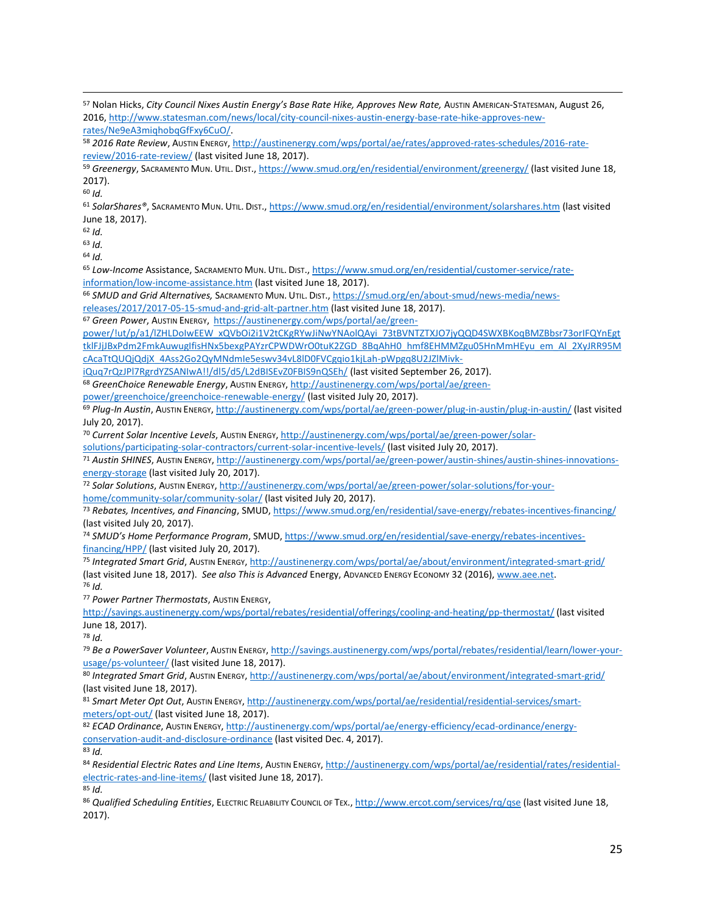<sup>58</sup> *2016 Rate Review*, AUSTIN ENERGY, [http://austinenergy.com/wps/portal/ae/rates/approved-rates-schedules/2016-rate](http://austinenergy.com/wps/portal/ae/rates/approved-rates-schedules/2016-rate-review/2016-rate-review/)[review/2016-rate-review/](http://austinenergy.com/wps/portal/ae/rates/approved-rates-schedules/2016-rate-review/2016-rate-review/) (last visited June 18, 2017).

<sup>60</sup> *Id.*

<sup>61</sup> *SolarShares®*, SACRAMENTO MUN. UTIL. DIST., <https://www.smud.org/en/residential/environment/solarshares.htm> (last visited June 18, 2017).

 $62$  *Id.* 

<sup>63</sup> *Id.*

<sup>64</sup> *Id.*

<sup>65</sup> *Low-Income* Assistance, SACRAMENTO MUN. UTIL. DIST., [https://www.smud.org/en/residential/customer-service/rate](https://www.smud.org/en/residential/customer-service/rate-information/low-income-assistance.htm)[information/low-income-assistance.htm](https://www.smud.org/en/residential/customer-service/rate-information/low-income-assistance.htm) (last visited June 18, 2017).

<sup>66</sup> *SMUD and Grid Alternatives,* SACRAMENTO MUN. UTIL. DIST., [https://smud.org/en/about-smud/news-media/news-](https://smud.org/en/about-smud/news-media/news-releases/2017/2017-05-15-smud-and-grid-alt-partner.htm)

[releases/2017/2017-05-15-smud-and-grid-alt-partner.htm](https://smud.org/en/about-smud/news-media/news-releases/2017/2017-05-15-smud-and-grid-alt-partner.htm) (last visited June 18, 2017).

<sup>67</sup> *Green Power*, AUSTIN ENERGY, [https://austinenergy.com/wps/portal/ae/green-](https://austinenergy.com/wps/portal/ae/green-power/!ut/p/a1/lZHLDoIwEEW_xQVbOi2i1V2tCKgRYwJiNwYNAolQAyi_73tBVNTZTXJO7jyQQD4SWXBKoqBMZBbsr73orIFQYnEgttklFJjJBxPdm2FmkAuwugIfisHNx5bexgPAYzrCPWDWrO0tuK2ZGD_8BqAhH0_hmf8EHMMZgu05HnMmHEyu_em_Al_2XyJRR95McAcaTtQUQjQdjX_4Ass2Go2QyMNdmIe5eswv34vL8lD0FVCgqio1kjLah-pWpgq8U2JZlMivk-iQuq7rQzJPl7RgrdYZSANIwA!!/dl5/d5/L2dBISEvZ0FBIS9nQSEh/)

[power/!ut/p/a1/lZHLDoIwEEW\\_xQVbOi2i1V2tCKgRYwJiNwYNAolQAyi\\_73tBVNTZTXJO7jyQQD4SWXBKoqBMZBbsr73orIFQYnEgt](https://austinenergy.com/wps/portal/ae/green-power/!ut/p/a1/lZHLDoIwEEW_xQVbOi2i1V2tCKgRYwJiNwYNAolQAyi_73tBVNTZTXJO7jyQQD4SWXBKoqBMZBbsr73orIFQYnEgttklFJjJBxPdm2FmkAuwugIfisHNx5bexgPAYzrCPWDWrO0tuK2ZGD_8BqAhH0_hmf8EHMMZgu05HnMmHEyu_em_Al_2XyJRR95McAcaTtQUQjQdjX_4Ass2Go2QyMNdmIe5eswv34vL8lD0FVCgqio1kjLah-pWpgq8U2JZlMivk-iQuq7rQzJPl7RgrdYZSANIwA!!/dl5/d5/L2dBISEvZ0FBIS9nQSEh/) [tklFJjJBxPdm2FmkAuwugIfisHNx5bexgPAYzrCPWDWrO0tuK2ZGD\\_8BqAhH0\\_hmf8EHMMZgu05HnMmHEyu\\_em\\_Al\\_2XyJRR95M](https://austinenergy.com/wps/portal/ae/green-power/!ut/p/a1/lZHLDoIwEEW_xQVbOi2i1V2tCKgRYwJiNwYNAolQAyi_73tBVNTZTXJO7jyQQD4SWXBKoqBMZBbsr73orIFQYnEgttklFJjJBxPdm2FmkAuwugIfisHNx5bexgPAYzrCPWDWrO0tuK2ZGD_8BqAhH0_hmf8EHMMZgu05HnMmHEyu_em_Al_2XyJRR95McAcaTtQUQjQdjX_4Ass2Go2QyMNdmIe5eswv34vL8lD0FVCgqio1kjLah-pWpgq8U2JZlMivk-iQuq7rQzJPl7RgrdYZSANIwA!!/dl5/d5/L2dBISEvZ0FBIS9nQSEh/) [cAcaTtQUQjQdjX\\_4Ass2Go2QyMNdmIe5eswv34vL8lD0FVCgqio1kjLah-pWpgq8U2JZlMivk-](https://austinenergy.com/wps/portal/ae/green-power/!ut/p/a1/lZHLDoIwEEW_xQVbOi2i1V2tCKgRYwJiNwYNAolQAyi_73tBVNTZTXJO7jyQQD4SWXBKoqBMZBbsr73orIFQYnEgttklFJjJBxPdm2FmkAuwugIfisHNx5bexgPAYzrCPWDWrO0tuK2ZGD_8BqAhH0_hmf8EHMMZgu05HnMmHEyu_em_Al_2XyJRR95McAcaTtQUQjQdjX_4Ass2Go2QyMNdmIe5eswv34vL8lD0FVCgqio1kjLah-pWpgq8U2JZlMivk-iQuq7rQzJPl7RgrdYZSANIwA!!/dl5/d5/L2dBISEvZ0FBIS9nQSEh/)

[iQuq7rQzJPl7RgrdYZSANIwA!!/dl5/d5/L2dBISEvZ0FBIS9nQSEh/](https://austinenergy.com/wps/portal/ae/green-power/!ut/p/a1/lZHLDoIwEEW_xQVbOi2i1V2tCKgRYwJiNwYNAolQAyi_73tBVNTZTXJO7jyQQD4SWXBKoqBMZBbsr73orIFQYnEgttklFJjJBxPdm2FmkAuwugIfisHNx5bexgPAYzrCPWDWrO0tuK2ZGD_8BqAhH0_hmf8EHMMZgu05HnMmHEyu_em_Al_2XyJRR95McAcaTtQUQjQdjX_4Ass2Go2QyMNdmIe5eswv34vL8lD0FVCgqio1kjLah-pWpgq8U2JZlMivk-iQuq7rQzJPl7RgrdYZSANIwA!!/dl5/d5/L2dBISEvZ0FBIS9nQSEh/) (last visited September 26, 2017).

<sup>68</sup> *GreenChoice Renewable Energy*, AUSTIN ENERGY, [http://austinenergy.com/wps/portal/ae/green-](http://austinenergy.com/wps/portal/ae/green-power/greenchoice/greenchoice-renewable-energy/)

[power/greenchoice/greenchoice-renewable-energy/](http://austinenergy.com/wps/portal/ae/green-power/greenchoice/greenchoice-renewable-energy/) (last visited July 20, 2017).

<sup>69</sup> *Plug-In Austin*, AUSTIN ENERGY[, http://austinenergy.com/wps/portal/ae/green-power/plug-in-austin/plug-in-austin/](http://austinenergy.com/wps/portal/ae/green-power/plug-in-austin/plug-in-austin/) (last visited July 20, 2017).

<sup>70</sup> *Current Solar Incentive Levels*, AUSTIN ENERGY, [http://austinenergy.com/wps/portal/ae/green-power/solar-](http://austinenergy.com/wps/portal/ae/green-power/solar-solutions/participating-solar-contractors/current-solar-incentive-levels/)

[solutions/participating-solar-contractors/current-solar-incentive-levels/](http://austinenergy.com/wps/portal/ae/green-power/solar-solutions/participating-solar-contractors/current-solar-incentive-levels/) (last visited July 20, 2017).

<sup>71</sup> *Austin SHINES*, AUSTIN ENERGY, [http://austinenergy.com/wps/portal/ae/green-power/austin-shines/austin-shines-innovations](http://austinenergy.com/wps/portal/ae/green-power/austin-shines/austin-shines-innovations-energy-storage)[energy-storage](http://austinenergy.com/wps/portal/ae/green-power/austin-shines/austin-shines-innovations-energy-storage) (last visited July 20, 2017).

72 Solar Solutions, Austin Energy[, http://austinenergy.com/wps/portal/ae/green-power/solar-solutions/for-your](http://austinenergy.com/wps/portal/ae/green-power/solar-solutions/for-your-home/community-solar/community-solar/)[home/community-solar/community-solar/](http://austinenergy.com/wps/portal/ae/green-power/solar-solutions/for-your-home/community-solar/community-solar/) (last visited July 20, 2017).

<sup>73</sup> *Rebates, Incentives, and Financing*, SMUD[, https://www.smud.org/en/residential/save-energy/rebates-incentives-financing/](https://www.smud.org/en/residential/save-energy/rebates-incentives-financing/) (last visited July 20, 2017).

<sup>74</sup> *SMUD's Home Performance Program*, SMUD[, https://www.smud.org/en/residential/save-energy/rebates-incentives](https://www.smud.org/en/residential/save-energy/rebates-incentives-financing/HPP/)[financing/HPP/](https://www.smud.org/en/residential/save-energy/rebates-incentives-financing/HPP/) (last visited July 20, 2017).

<sup>75</sup> *Integrated Smart Grid*, AUSTIN ENERGY[, http://austinenergy.com/wps/portal/ae/about/environment/integrated-smart-grid/](http://austinenergy.com/wps/portal/ae/about/environment/integrated-smart-grid/) (last visited June 18, 2017). *See also This is Advanced* Energy, ADVANCED ENERGY ECONOMY 32 (2016)[, www.aee.net.](http://www.aee.net/) <sup>76</sup> *Id.*

<sup>77</sup> *Power Partner Thermostats*, AUSTIN ENERGY,

<http://savings.austinenergy.com/wps/portal/rebates/residential/offerings/cooling-and-heating/pp-thermostat/> (last visited June 18, 2017).

<sup>78</sup> *Id.*

<sup>79</sup> *Be a PowerSaver Volunteer*, AUSTIN ENERGY[, http://savings.austinenergy.com/wps/portal/rebates/residential/learn/lower-your](http://savings.austinenergy.com/wps/portal/rebates/residential/learn/lower-your-usage/ps-volunteer/)[usage/ps-volunteer/](http://savings.austinenergy.com/wps/portal/rebates/residential/learn/lower-your-usage/ps-volunteer/) (last visited June 18, 2017).

<sup>80</sup> *Integrated Smart Grid*, AUSTIN ENERGY[, http://austinenergy.com/wps/portal/ae/about/environment/integrated-smart-grid/](http://austinenergy.com/wps/portal/ae/about/environment/integrated-smart-grid/) (last visited June 18, 2017).

81 Smart Meter Opt Out, Austin Energy[, http://austinenergy.com/wps/portal/ae/residential/residential-services/smart](http://austinenergy.com/wps/portal/ae/residential/residential-services/smart-meters/opt-out/)[meters/opt-out/](http://austinenergy.com/wps/portal/ae/residential/residential-services/smart-meters/opt-out/) (last visited June 18, 2017).

<sup>82</sup> *ECAD Ordinance*, AUSTIN ENERGY, [http://austinenergy.com/wps/portal/ae/energy-efficiency/ecad-ordinance/energy](http://austinenergy.com/wps/portal/ae/energy-efficiency/ecad-ordinance/energy-conservation-audit-and-disclosure-ordinance)[conservation-audit-and-disclosure-ordinance](http://austinenergy.com/wps/portal/ae/energy-efficiency/ecad-ordinance/energy-conservation-audit-and-disclosure-ordinance) (last visited Dec. 4, 2017).

<sup>83</sup> *Id.*

84 Residential Electric Rates and Line Items, Austin Energy[, http://austinenergy.com/wps/portal/ae/residential/rates/residential](http://austinenergy.com/wps/portal/ae/residential/rates/residential-electric-rates-and-line-items/)[electric-rates-and-line-items/](http://austinenergy.com/wps/portal/ae/residential/rates/residential-electric-rates-and-line-items/) (last visited June 18, 2017). <sup>85</sup> *Id.*

86 Qualified Scheduling Entities, ELECTRIC RELIABILITY COUNCIL OF TEX.[, http://www.ercot.com/services/rq/qse](http://www.ercot.com/services/rq/qse) (last visited June 18, 2017).

 $\overline{a}$ <sup>57</sup> Nolan Hicks, *City Council Nixes Austin Energy's Base Rate Hike, Approves New Rate,* AUSTIN AMERICAN-STATESMAN, August 26, 2016[, http://www.statesman.com/news/local/city-council-nixes-austin-energy-base-rate-hike-approves-new](http://www.statesman.com/news/local/city-council-nixes-austin-energy-base-rate-hike-approves-new-rates/Ne9eA3miqhobqGfFxy6CuO/)[rates/Ne9eA3miqhobqGfFxy6CuO/.](http://www.statesman.com/news/local/city-council-nixes-austin-energy-base-rate-hike-approves-new-rates/Ne9eA3miqhobqGfFxy6CuO/)

<sup>59</sup> *Greenergy*, SACRAMENTO MUN. UTIL. DIST.[, https://www.smud.org/en/residential/environment/greenergy/](https://www.smud.org/en/residential/environment/greenergy/) (last visited June 18, 2017).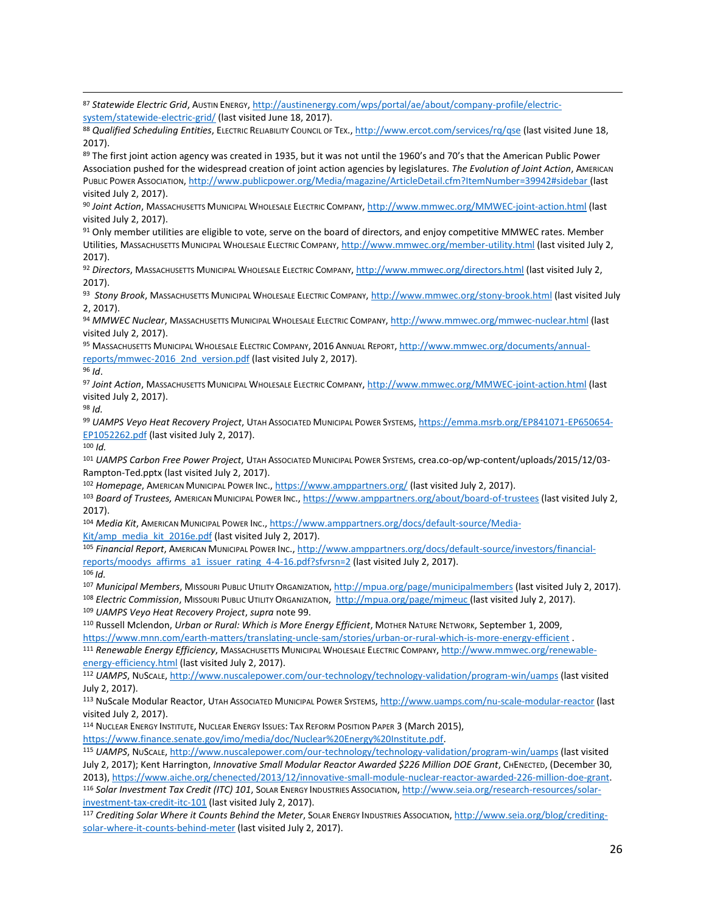<sup>87</sup> *Statewide Electric Grid*, AUSTIN ENERGY[, http://austinenergy.com/wps/portal/ae/about/company-profile/electric](http://austinenergy.com/wps/portal/ae/about/company-profile/electric-system/statewide-electric-grid/)[system/statewide-electric-grid/](http://austinenergy.com/wps/portal/ae/about/company-profile/electric-system/statewide-electric-grid/) (last visited June 18, 2017).

89 The first joint action agency was created in 1935, but it was not until the 1960's and 70's that the American Public Power Association pushed for the widespread creation of joint action agencies by legislatures. *The Evolution of Joint Action*, AMERICAN PUBLIC POWER ASSOCIATION[, http://www.publicpower.org/Media/magazine/ArticleDetail.cfm?ItemNumber=39942#sidebar](http://www.publicpower.org/Media/magazine/ArticleDetail.cfm?ItemNumber=39942#sidebar) (last visited July 2, 2017).

<sup>90</sup> *Joint Action*, MASSACHUSETTS MUNICIPAL WHOLESALE ELECTRIC COMPANY,<http://www.mmwec.org/MMWEC-joint-action.html> (last visited July 2, 2017).

 $91$  Only member utilities are eligible to vote, serve on the board of directors, and enjoy competitive MMWEC rates. Member Utilities, MASSACHUSETTS MUNICIPAL WHOLESALE ELECTRIC COMPANY, <http://www.mmwec.org/member-utility.html> (last visited July 2, 2017).

92 *Directors*, MASSACHUSETTS MUNICIPAL WHOLESALE ELECTRIC COMPANY, <http://www.mmwec.org/directors.html> (last visited July 2, 2017).

93 *Stony Brook*, MASSACHUSETTS MUNICIPAL WHOLESALE ELECTRIC COMPANY, <http://www.mmwec.org/stony-brook.html> (last visited July 2, 2017).

<sup>94</sup> *MMWEC Nuclear*, MASSACHUSETTS MUNICIPAL WHOLESALE ELECTRIC COMPANY, <http://www.mmwec.org/mmwec-nuclear.html> (last visited July 2, 2017).

95 MASSACHUSETTS MUNICIPAL WHOLESALE ELECTRIC COMPANY, 2016 ANNUAL REPORT[, http://www.mmwec.org/documents/annual](http://www.mmwec.org/documents/annual-reports/mmwec-2016_2nd_version.pdf)[reports/mmwec-2016\\_2nd\\_version.pdf](http://www.mmwec.org/documents/annual-reports/mmwec-2016_2nd_version.pdf) (last visited July 2, 2017).

<sup>96</sup> *Id*.

 $\overline{a}$ 

<sup>97</sup> *Joint Action*, MASSACHUSETTS MUNICIPAL WHOLESALE ELECTRIC COMPANY,<http://www.mmwec.org/MMWEC-joint-action.html> (last visited July 2, 2017).

<sup>98</sup> *Id.*

<sup>99</sup> *UAMPS Veyo Heat Recovery Project*, UTAH ASSOCIATED MUNICIPAL POWER SYSTEMS[, https://emma.msrb.org/EP841071-EP650654-](https://emma.msrb.org/EP841071-EP650654-EP1052262.pdf) [EP1052262.pdf](https://emma.msrb.org/EP841071-EP650654-EP1052262.pdf) (last visited July 2, 2017).

<sup>100</sup> *Id.*

<sup>101</sup> *UAMPS Carbon Free Power Project*, UTAH ASSOCIATED MUNICIPAL POWER SYSTEMS, crea.co-op/wp-content/uploads/2015/12/03- Rampton-Ted.pptx (last visited July 2, 2017).

<sup>102</sup> *Homepage*, AMERICAN MUNICIPAL POWER INC.,<https://www.amppartners.org/> (last visited July 2, 2017).

<sup>103</sup> *Board of Trustees,* AMERICAN MUNICIPAL POWER INC.,<https://www.amppartners.org/about/board-of-trustees> (last visited July 2, 2017).

<sup>104</sup> *Media Kit*, AMERICAN MUNICIPAL POWER INC., [https://www.amppartners.org/docs/default-source/Media-](https://www.amppartners.org/docs/default-source/Media-Kit/amp_media_kit_2016e.pdf)[Kit/amp\\_media\\_kit\\_2016e.pdf](https://www.amppartners.org/docs/default-source/Media-Kit/amp_media_kit_2016e.pdf) (last visited July 2, 2017).

<sup>105</sup> *Financial Report*, AMERICAN MUNICIPAL POWER INC., [http://www.amppartners.org/docs/default-source/investors/financial](http://www.amppartners.org/docs/default-source/investors/financial-reports/moodys_affirms_a1_issuer_rating_4-4-16.pdf?sfvrsn=2)[reports/moodys\\_affirms\\_a1\\_issuer\\_rating\\_4-4-16.pdf?sfvrsn=2](http://www.amppartners.org/docs/default-source/investors/financial-reports/moodys_affirms_a1_issuer_rating_4-4-16.pdf?sfvrsn=2) (last visited July 2, 2017). <sup>106</sup> *Id.*

<sup>107</sup> *Municipal Members*, MISSOURI PUBLIC UTILITY ORGANIZATION,<http://mpua.org/page/municipalmembers> (last visited July 2, 2017).

<sup>108</sup> *Electric Commission*, MISSOURI PUBLIC UTILITY ORGANIZATION,<http://mpua.org/page/mjmeuc> (last visited July 2, 2017). <sup>109</sup> *UAMPS Veyo Heat Recovery Project*, *supra* not[e 99.](#page-11-0)

<sup>110</sup> Russell Mclendon, *Urban or Rural: Which is More Energy Efficient*, MOTHER NATURE NETWORK, September 1, 2009, <https://www.mnn.com/earth-matters/translating-uncle-sam/stories/urban-or-rural-which-is-more-energy-efficient> .

<sup>111</sup> *Renewable Energy Efficiency*, MASSACHUSETTS MUNICIPAL WHOLESALE ELECTRIC COMPANY, [http://www.mmwec.org/renewable](http://www.mmwec.org/renewable-energy-efficiency.html)[energy-efficiency.html](http://www.mmwec.org/renewable-energy-efficiency.html) (last visited July 2, 2017).

<sup>112</sup> *UAMPS*, NUSCALE[, http://www.nuscalepower.com/our-technology/technology-validation/program-win/uamps](http://www.nuscalepower.com/our-technology/technology-validation/program-win/uamps) (last visited July 2, 2017).

<sup>113</sup> NuScale Modular Reactor, UTAH ASSOCIATED MUNICIPAL POWER SYSTEMS, <http://www.uamps.com/nu-scale-modular-reactor> (last visited July 2, 2017).

<sup>114</sup> NUCLEAR ENERGY INSTITUTE, NUCLEAR ENERGY ISSUES: TAX REFORM POSITION PAPER 3 (March 2015),

[https://www.finance.senate.gov/imo/media/doc/Nuclear%20Energy%20Institute.pdf.](https://www.finance.senate.gov/imo/media/doc/Nuclear%20Energy%20Institute.pdf)

<sup>115</sup> *UAMPS*, NUSCALE[, http://www.nuscalepower.com/our-technology/technology-validation/program-win/uamps](http://www.nuscalepower.com/our-technology/technology-validation/program-win/uamps) (last visited July 2, 2017); Kent Harrington, *Innovative Small Modular Reactor Awarded \$226 Million DOE Grant*, CHENECTED, (December 30, 2013)[, https://www.aiche.org/chenected/2013/12/innovative-small-module-nuclear-reactor-awarded-226-million-doe-grant.](https://www.aiche.org/chenected/2013/12/innovative-small-module-nuclear-reactor-awarded-226-million-doe-grant) <sup>116</sup> *Solar Investment Tax Credit (ITC) 101*, SOLAR ENERGY INDUSTRIES ASSOCIATION, [http://www.seia.org/research-resources/solar](http://www.seia.org/research-resources/solar-investment-tax-credit-itc-101)[investment-tax-credit-itc-101](http://www.seia.org/research-resources/solar-investment-tax-credit-itc-101) (last visited July 2, 2017).

117 *Crediting Solar Where it Counts Behind the Meter*, Solar Energy Industries Association, [http://www.seia.org/blog/crediting](http://www.seia.org/blog/crediting-solar-where-it-counts-behind-meter)[solar-where-it-counts-behind-meter](http://www.seia.org/blog/crediting-solar-where-it-counts-behind-meter) (last visited July 2, 2017).

<sup>88</sup> *Qualified Scheduling Entities*, ELECTRIC RELIABILITY COUNCIL OF TEX.[, http://www.ercot.com/services/rq/qse](http://www.ercot.com/services/rq/qse) (last visited June 18, 2017).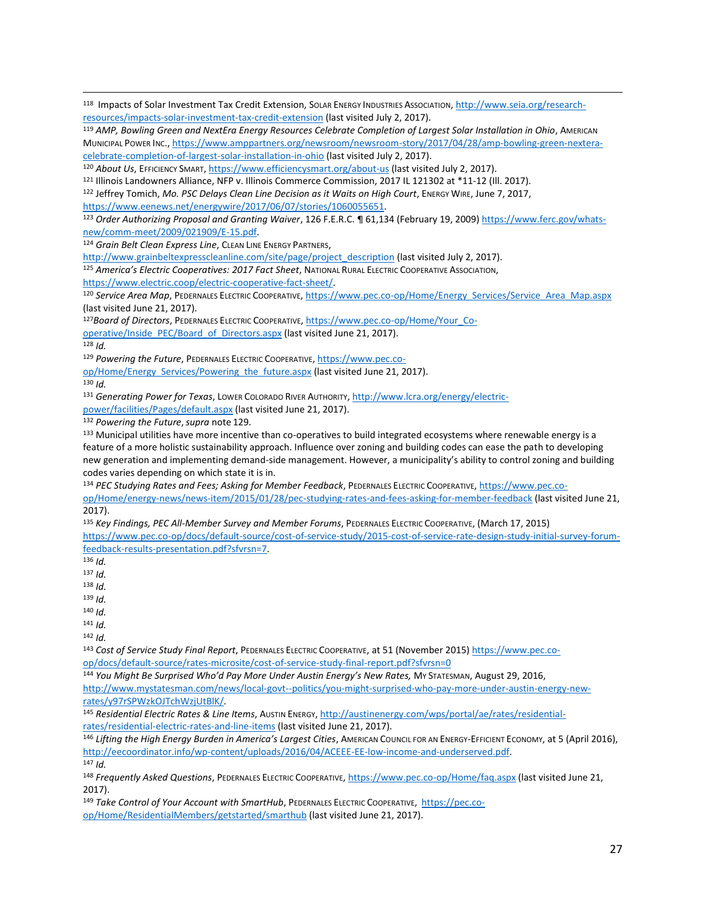118 Impacts of Solar Investment Tax Credit Extension, Sоцак Емексу Iмристкиез Associaтion, [http://www.seia.org/research](http://www.seia.org/research-resources/impacts-solar-investment-tax-credit-extension)[resources/impacts-solar-investment-tax-credit-extension](http://www.seia.org/research-resources/impacts-solar-investment-tax-credit-extension) (last visited July 2, 2017).

<sup>119</sup> *AMP, Bowling Green and NextEra Energy Resources Celebrate Completion of Largest Solar Installation in Ohio*, AMERICAN MUNICIPAL POWER INC.[, https://www.amppartners.org/newsroom/newsroom-story/2017/04/28/amp-bowling-green-nextera](https://www.amppartners.org/newsroom/newsroom-story/2017/04/28/amp-bowling-green-nextera-celebrate-completion-of-largest-solar-installation-in-ohio)[celebrate-completion-of-largest-solar-installation-in-ohio](https://www.amppartners.org/newsroom/newsroom-story/2017/04/28/amp-bowling-green-nextera-celebrate-completion-of-largest-solar-installation-in-ohio) (last visited July 2, 2017).

<sup>120</sup> *About Us*, EFFICIENCY SMART[, https://www.efficiencysmart.org/about-us](https://www.efficiencysmart.org/about-us) (last visited July 2, 2017).

<sup>121</sup> Illinois Landowners Alliance, NFP v. Illinois Commerce Commission, 2017 IL 121302 at \*11-12 (Ill. 2017).

<sup>122</sup> Jeffrey Tomich, *Mo. PSC Delays Clean Line Decision as it Waits on High Court*, ENERGY WIRE, June 7, 2017, [https://www.eenews.net/energywire/2017/06/07/stories/1060055651.](https://www.eenews.net/energywire/2017/06/07/stories/1060055651)

<sup>123</sup> *Order Authorizing Proposal and Granting Waiver*, 126 F.E.R.C. ¶ 61,134 (February 19, 2009) [https://www.ferc.gov/whats](https://www.ferc.gov/whats-new/comm-meet/2009/021909/E-15.pdf)[new/comm-meet/2009/021909/E-15.pdf.](https://www.ferc.gov/whats-new/comm-meet/2009/021909/E-15.pdf)

<sup>124</sup> *Grain Belt Clean Express Line*, CLEAN LINE ENERGY PARTNERS,

[http://www.grainbeltexpresscleanline.com/site/page/project\\_description](http://www.grainbeltexpresscleanline.com/site/page/project_description) (last visited July 2, 2017).

<sup>125</sup> *America's Electric Cooperatives: 2017 Fact Sheet*, NATIONAL RURAL ELECTRIC COOPERATIVE ASSOCIATION,

[https://www.electric.coop/electric-cooperative-fact-sheet/.](https://www.electric.coop/electric-cooperative-fact-sheet/)

120 Service Area Map, PEDERNALES ELECTRIC COOPERATIVE[, https://www.pec.co-op/Home/Energy\\_Services/Service\\_Area\\_Map.aspx](https://www.pec.coop/Home/Energy_Services/Service_Area_Map.aspx) (last visited June 21, 2017).

<sup>127</sup>*Board of Directors*, PEDERNALES ELECTRIC COOPERATIVE, [https://www.pec.co-op/Home/Your\\_Co-](https://www.pec.co-op/Home/Your_Co-operative/Inside_PEC/Board_of_Directors.aspx)

[operative/Inside\\_PEC/Board\\_of\\_Directors.aspx](https://www.pec.co-op/Home/Your_Co-operative/Inside_PEC/Board_of_Directors.aspx) (last visited June 21, 2017).

<sup>128</sup> *Id.*

 $\overline{a}$ 

<sup>129</sup> *Powering the Future*, PEDERNALES ELECTRIC COOPERATIVE[, https://www.pec.co-](https://www.pec.coop/Home/Energy_Services/Powering_the_future.aspx)

[op/Home/Energy\\_Services/Powering\\_the\\_future.aspx](https://www.pec.coop/Home/Energy_Services/Powering_the_future.aspx) (last visited June 21, 2017).

<sup>130</sup> *Id.*

<sup>131</sup> *Generating Power for Texas*, LOWER COLORADO RIVER AUTHORITY, [http://www.lcra.org/energy/electric](http://www.lcra.org/energy/electric-power/facilities/Pages/default.aspx)[power/facilities/Pages/default.aspx](http://www.lcra.org/energy/electric-power/facilities/Pages/default.aspx) (last visited June 21, 2017).

<sup>132</sup> *Powering the Future*,*supra* note [129.](#page-16-0)

133 Municipal utilities have more incentive than co-operatives to build integrated ecosystems where renewable energy is a feature of a more holistic sustainability approach. Influence over zoning and building codes can ease the path to developing new generation and implementing demand-side management. However, a municipality's ability to control zoning and building codes varies depending on which state it is in.

<sup>134</sup> *PEC Studying Rates and Fees; Asking for Member Feedback*, PEDERNALES ELECTRIC COOPERATIVE, [https://www.pec.co](https://www.pec.coop/Home/energy-news/news-item/2015/01/28/pec-studying-rates-and-fees-asking-for-member-feedback)[op/Home/energy-news/news-item/2015/01/28/pec-studying-rates-and-fees-asking-for-member-feedback](https://www.pec.coop/Home/energy-news/news-item/2015/01/28/pec-studying-rates-and-fees-asking-for-member-feedback) (last visited June 21, 2017).

<sup>135</sup> *Key Findings, PEC All-Member Survey and Member Forums*, PEDERNALES ELECTRIC COOPERATIVE, (March 17, 2015) [https://www.pec.co-op/docs/default-source/cost-of-service-study/2015-cost-of-service-rate-design-study-initial-survey-forum](https://www.pec.coop/docs/default-source/cost-of-service-study/2015-cost-of-service-rate-design-study-initial-survey-forum-feedback-results-presentation.pdf?sfvrsn=7)[feedback-results-presentation.pdf?sfvrsn=7.](https://www.pec.coop/docs/default-source/cost-of-service-study/2015-cost-of-service-rate-design-study-initial-survey-forum-feedback-results-presentation.pdf?sfvrsn=7)

<sup>136</sup> *Id.*

<sup>137</sup> *Id.*

<sup>138</sup> *Id.*

<sup>139</sup> *Id.*

<sup>140</sup> *Id.* <sup>141</sup> *Id.*

<sup>142</sup> *Id.*

<sup>143</sup> *Cost of Service Study Final Report*, PEDERNALES ELECTRIC COOPERATIVE, at 51 (November 2015[\) https://www.pec.co](https://www.pec.coop/docs/default-source/rates-microsite/cost-of-service-study-final-report.pdf?sfvrsn=0)[op/docs/default-source/rates-microsite/cost-of-service-study-final-report.pdf?sfvrsn=0](https://www.pec.coop/docs/default-source/rates-microsite/cost-of-service-study-final-report.pdf?sfvrsn=0)

<sup>144</sup> *You Might Be Surprised Who'd Pay More Under Austin Energy's New Rates,* MY STATESMAN, August 29, 2016, [http://www.mystatesman.com/news/local-govt--politics/you-might-surprised-who-pay-more-under-austin-energy-new](http://www.mystatesman.com/news/local-govt--politics/you-might-surprised-who-pay-more-under-austin-energy-new-rates/y97rSPWzkOJTchWzjUtBlK/)[rates/y97rSPWzkOJTchWzjUtBlK/.](http://www.mystatesman.com/news/local-govt--politics/you-might-surprised-who-pay-more-under-austin-energy-new-rates/y97rSPWzkOJTchWzjUtBlK/)

<sup>145</sup> *Residential Electric Rates & Line Items*, AUSTIN ENERGY, [http://austinenergy.com/wps/portal/ae/rates/residential](http://austinenergy.com/wps/portal/ae/rates/residential-rates/residential-electric-rates-and-line-items)[rates/residential-electric-rates-and-line-items](http://austinenergy.com/wps/portal/ae/rates/residential-rates/residential-electric-rates-and-line-items) (last visited June 21, 2017).

<sup>146</sup> *Lifting the High Energy Burden in America's Largest Cities*, AMERICAN COUNCIL FOR AN ENERGY-EFFICIENT ECONOMY, at 5 (April 2016), [http://eecoordinator.info/wp-content/uploads/2016/04/ACEEE-EE-low-income-and-underserved.pdf.](http://eecoordinator.info/wp-content/uploads/2016/04/ACEEE-EE-low-income-and-underserved.pdf) <sup>147</sup> *Id.*

<sup>148</sup> *Frequently Asked Questions*, PEDERNALES ELECTRIC COOPERATIVE, [https://www.pec.co-op/Home/faq.aspx](https://www.pec.coop/Home/faq.aspx) (last visited June 21, 2017).

<sup>149</sup> *Take Control of Your Account with SmartHub*, PEDERNALES ELECTRIC COOPERATIVE, [https://pec.co](https://pec.coop/Home/ResidentialMembers/getstarted/smarthub)[op/Home/ResidentialMembers/getstarted/smarthub](https://pec.coop/Home/ResidentialMembers/getstarted/smarthub) (last visited June 21, 2017).